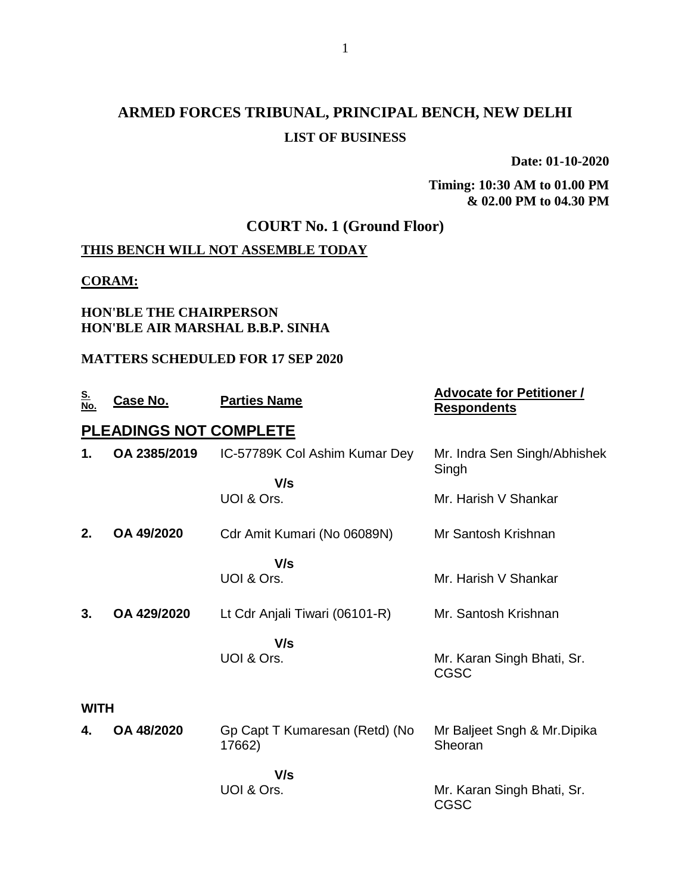# **ARMED FORCES TRIBUNAL, PRINCIPAL BENCH, NEW DELHI LIST OF BUSINESS**

**Date: 01-10-2020**

**Timing: 10:30 AM to 01.00 PM & 02.00 PM to 04.30 PM**

## **COURT No. 1 (Ground Floor)**

## **THIS BENCH WILL NOT ASSEMBLE TODAY**

#### **CORAM:**

#### **HON'BLE THE CHAIRPERSON HON'BLE AIR MARSHAL B.B.P. SINHA**

#### **MATTERS SCHEDULED FOR 17 SEP 2020**

| <u>S.</u><br>No. | Case No.               | <b>Parties Name</b>                      | <b>Advocate for Petitioner /</b><br><b>Respondents</b> |
|------------------|------------------------|------------------------------------------|--------------------------------------------------------|
|                  | PLEADINGS NOT COMPLETE |                                          |                                                        |
| 1.               | OA 2385/2019           | IC-57789K Col Ashim Kumar Dey            | Mr. Indra Sen Singh/Abhishek<br>Singh                  |
|                  |                        | V/s<br>UOI & Ors.                        | Mr. Harish V Shankar                                   |
| 2.               | OA 49/2020             | Cdr Amit Kumari (No 06089N)              | Mr Santosh Krishnan                                    |
|                  |                        | V/s<br>UOI & Ors.                        | Mr. Harish V Shankar                                   |
| 3.               | OA 429/2020            | Lt Cdr Anjali Tiwari (06101-R)           | Mr. Santosh Krishnan                                   |
|                  |                        | V/s<br>UOI & Ors.                        | Mr. Karan Singh Bhati, Sr.<br><b>CGSC</b>              |
| <b>WITH</b>      |                        |                                          |                                                        |
| 4.               | OA 48/2020             | Gp Capt T Kumaresan (Retd) (No<br>17662) | Mr Baljeet Sngh & Mr. Dipika<br>Sheoran                |
|                  |                        | V/s<br>UOI & Ors.                        | Mr. Karan Singh Bhati, Sr.<br><b>CGSC</b>              |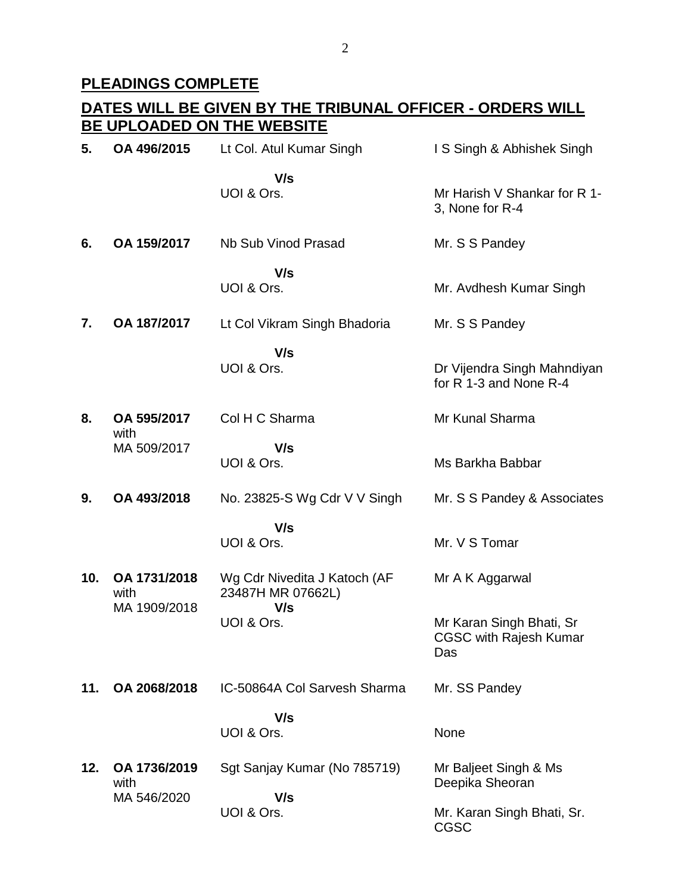#### **PLEADINGS COMPLETE**

#### **DATES WILL BE GIVEN BY THE TRIBUNAL OFFICER - ORDERS WILL BE UPLOADED ON THE WEBSITE 5. OA 496/2015** Lt Col. Atul Kumar Singh  **V/s** UOI & Ors. I S Singh & Abhishek Singh Mr Harish V Shankar for R 1- 3, None for R-4 **6. OA 159/2017** Nb Sub Vinod Prasad  **V/s** UOI & Ors. Mr. S S Pandey Mr. Avdhesh Kumar Singh **7. OA 187/2017** Lt Col Vikram Singh Bhadoria  **V/s** UOI & Ors. Mr. S S Pandey Dr Vijendra Singh Mahndiyan for R 1-3 and None R-4 **8. OA 595/2017** with MA 509/2017 Col H C Sharma  **V/s** UOI & Ors. Mr Kunal Sharma Ms Barkha Babbar **9. OA 493/2018** No. 23825-S Wg Cdr V V Singh  **V/s** UOI & Ors. Mr. S S Pandey & Associates Mr. V S Tomar **10. OA 1731/2018** with MA 1909/2018 Wg Cdr Nivedita J Katoch (AF 23487H MR 07662L)  **V/s** UOI & Ors. Mr A K Aggarwal Mr Karan Singh Bhati, Sr CGSC with Rajesh Kumar Das **11. OA 2068/2018** IC-50864A Col Sarvesh Sharma  **V/s** UOI & Ors. Mr. SS Pandey None **12. OA 1736/2019** with MA 546/2020 Sgt Sanjay Kumar (No 785719)  **V/s** UOI & Ors. Mr Baljeet Singh & Ms Deepika Sheoran Mr. Karan Singh Bhati, Sr. CGSC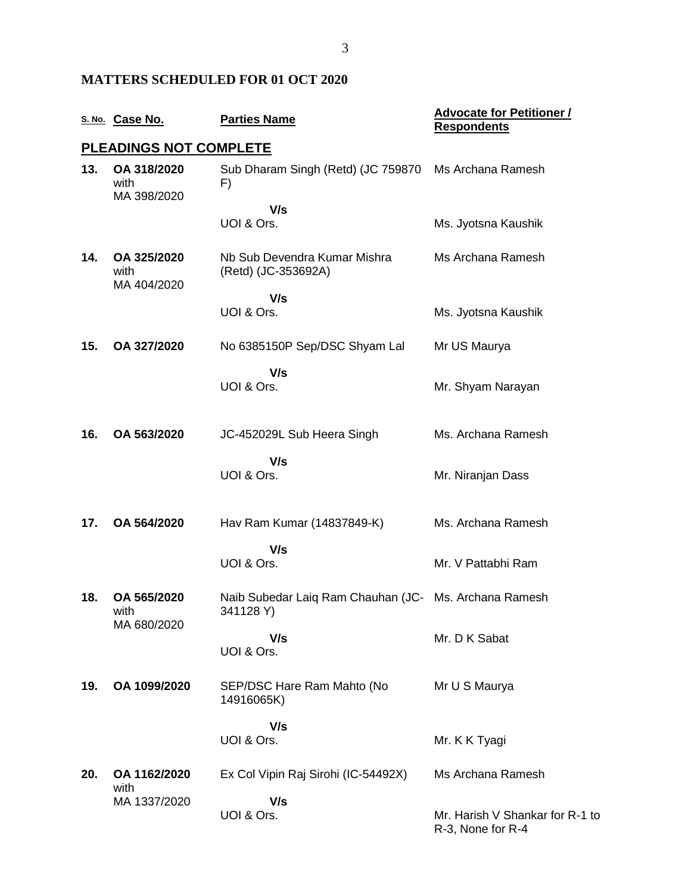### **MATTERS SCHEDULED FOR 01 OCT 2020**

|     | S. No. Case No.                    | <b>Parties Name</b>                                                | <b>Advocate for Petitioner /</b><br><b>Respondents</b> |
|-----|------------------------------------|--------------------------------------------------------------------|--------------------------------------------------------|
|     | <b>PLEADINGS NOT COMPLETE</b>      |                                                                    |                                                        |
| 13. | OA 318/2020<br>with<br>MA 398/2020 | Sub Dharam Singh (Retd) (JC 759870<br>F)                           | Ms Archana Ramesh                                      |
|     |                                    | V/s<br>UOI & Ors.                                                  | Ms. Jyotsna Kaushik                                    |
| 14. | OA 325/2020<br>with<br>MA 404/2020 | Nb Sub Devendra Kumar Mishra<br>(Retd) (JC-353692A)                | Ms Archana Ramesh                                      |
|     |                                    | V/s<br>UOI & Ors.                                                  | Ms. Jyotsna Kaushik                                    |
| 15. | OA 327/2020                        | No 6385150P Sep/DSC Shyam Lal                                      | Mr US Maurya                                           |
|     |                                    | V/s<br>UOI & Ors.                                                  | Mr. Shyam Narayan                                      |
| 16. | OA 563/2020                        | JC-452029L Sub Heera Singh                                         | Ms. Archana Ramesh                                     |
|     |                                    | V/s<br>UOI & Ors.                                                  | Mr. Niranjan Dass                                      |
| 17. | OA 564/2020                        | Hav Ram Kumar (14837849-K)                                         | Ms. Archana Ramesh                                     |
|     |                                    | V/s<br>UOI & Ors.                                                  | Mr. V Pattabhi Ram                                     |
| 18. | OA 565/2020<br>with<br>MA 680/2020 | Naib Subedar Laiq Ram Chauhan (JC- Ms. Archana Ramesh<br>341128 Y) |                                                        |
|     |                                    | V/s<br>UOI & Ors.                                                  | Mr. D K Sabat                                          |
| 19. | OA 1099/2020                       | SEP/DSC Hare Ram Mahto (No<br>14916065K)                           | Mr U S Maurya                                          |
|     |                                    | V/s                                                                |                                                        |
|     |                                    | UOI & Ors.                                                         | Mr. K K Tyagi                                          |
| 20. | OA 1162/2020<br>with               | Ex Col Vipin Raj Sirohi (IC-54492X)                                | Ms Archana Ramesh                                      |
|     | MA 1337/2020                       | V/s<br>UOI & Ors.                                                  | Mr. Harish V Shankar for R-1 to<br>R-3, None for R-4   |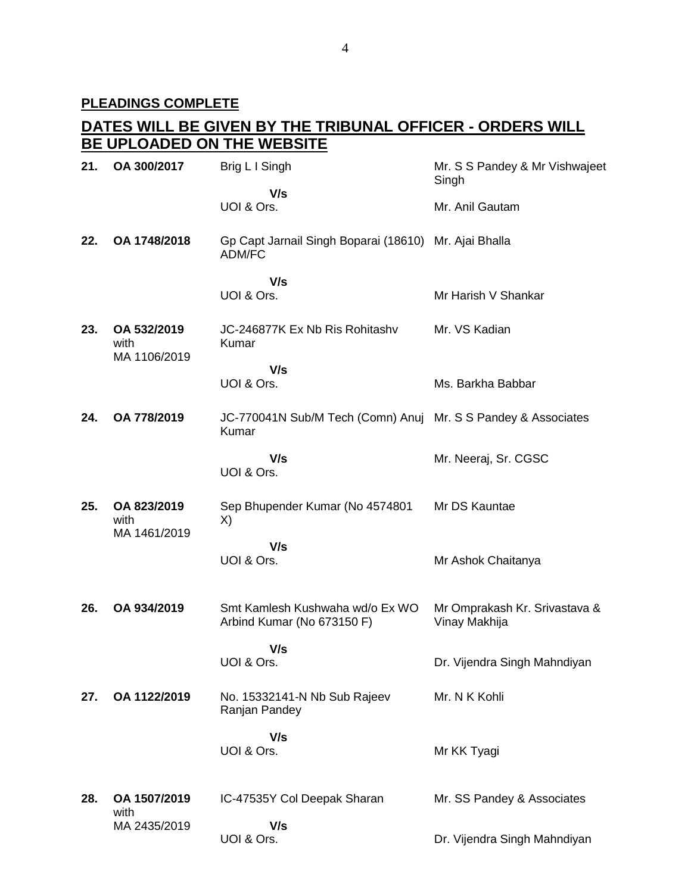## **DATES WILL BE GIVEN BY THE TRIBUNAL OFFICER - ORDERS WILL BE UPLOADED ON THE WEBSITE**

| 21. | OA 300/2017                         | Brig L I Singh                                                         | Mr. S S Pandey & Mr Vishwajeet<br>Singh        |
|-----|-------------------------------------|------------------------------------------------------------------------|------------------------------------------------|
|     |                                     | V/s<br>UOI & Ors.                                                      | Mr. Anil Gautam                                |
| 22. | OA 1748/2018                        | Gp Capt Jarnail Singh Boparai (18610) Mr. Ajai Bhalla<br>ADM/FC        |                                                |
|     |                                     | V/s<br>UOI & Ors.                                                      | Mr Harish V Shankar                            |
| 23. | OA 532/2019<br>with<br>MA 1106/2019 | JC-246877K Ex Nb Ris Rohitashv<br>Kumar                                | Mr. VS Kadian                                  |
|     |                                     | V/s<br>UOI & Ors.                                                      | Ms. Barkha Babbar                              |
| 24. | OA 778/2019                         | JC-770041N Sub/M Tech (Comn) Anuj Mr. S S Pandey & Associates<br>Kumar |                                                |
|     |                                     | V/s<br>UOI & Ors.                                                      | Mr. Neeraj, Sr. CGSC                           |
| 25. | OA 823/2019<br>with                 | Sep Bhupender Kumar (No 4574801<br>X)                                  | Mr DS Kauntae                                  |
|     | MA 1461/2019                        | V/s<br>UOI & Ors.                                                      | Mr Ashok Chaitanya                             |
| 26. | OA 934/2019                         | Smt Kamlesh Kushwaha wd/o Ex WO<br>Arbind Kumar (No 673150 F)          | Mr Omprakash Kr. Srivastava &<br>Vinay Makhija |
|     |                                     | V/s<br>UOI & Ors.                                                      | Dr. Vijendra Singh Mahndiyan                   |
| 27. | OA 1122/2019                        | No. 15332141-N Nb Sub Rajeev<br>Ranjan Pandey                          | Mr. N K Kohli                                  |
|     |                                     | V/s<br>UOI & Ors.                                                      | Mr KK Tyagi                                    |
| 28. | OA 1507/2019<br>with                | IC-47535Y Col Deepak Sharan                                            | Mr. SS Pandey & Associates                     |
|     | MA 2435/2019                        | V/s<br>UOI & Ors.                                                      | Dr. Vijendra Singh Mahndiyan                   |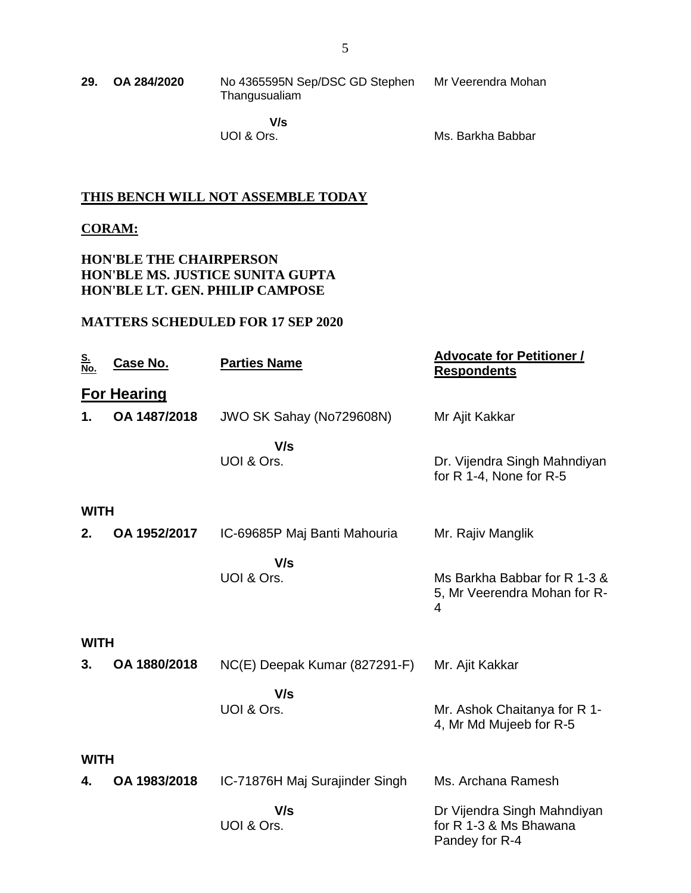| 29. | OA 284/2020 | No 4365595N Sep/DSC GD Stephen | Mr Veerendra Mohan |
|-----|-------------|--------------------------------|--------------------|
|     |             | Thangusualiam                  |                    |

 **V/s** UOI & Ors.

Ms. Barkha Babbar

#### **THIS BENCH WILL NOT ASSEMBLE TODAY**

#### **CORAM:**

#### **HON'BLE THE CHAIRPERSON HON'BLE MS. JUSTICE SUNITA GUPTA HON'BLE LT. GEN. PHILIP CAMPOSE**

### **MATTERS SCHEDULED FOR 17 SEP 2020**

| <u>S.</u><br>No. | <u>Case No.</u>    | <b>Parties Name</b>            | <b>Advocate for Petitioner /</b><br><b>Respondents</b>                         |
|------------------|--------------------|--------------------------------|--------------------------------------------------------------------------------|
|                  | <b>For Hearing</b> |                                |                                                                                |
| 1.               | OA 1487/2018       | JWO SK Sahay (No729608N)       | Mr Ajit Kakkar                                                                 |
|                  |                    | V/s<br>UOI & Ors.              | Dr. Vijendra Singh Mahndiyan<br>for R 1-4, None for R-5                        |
| <b>WITH</b>      |                    |                                |                                                                                |
| 2.               | OA 1952/2017       | IC-69685P Maj Banti Mahouria   | Mr. Rajiv Manglik                                                              |
|                  |                    | V/s<br>UOI & Ors.              | Ms Barkha Babbar for R 1-3 &<br>5, Mr Veerendra Mohan for R-<br>$\overline{4}$ |
| <b>WITH</b>      |                    |                                |                                                                                |
| 3.               | OA 1880/2018       | NC(E) Deepak Kumar (827291-F)  | Mr. Ajit Kakkar                                                                |
|                  |                    | V/s<br>UOI & Ors.              | Mr. Ashok Chaitanya for R 1-<br>4, Mr Md Mujeeb for R-5                        |
| <b>WITH</b>      |                    |                                |                                                                                |
| 4.               | OA 1983/2018       | IC-71876H Maj Surajinder Singh | Ms. Archana Ramesh                                                             |
|                  |                    | V/s<br>UOI & Ors.              | Dr Vijendra Singh Mahndiyan<br>for R 1-3 & Ms Bhawana<br>Pandey for R-4        |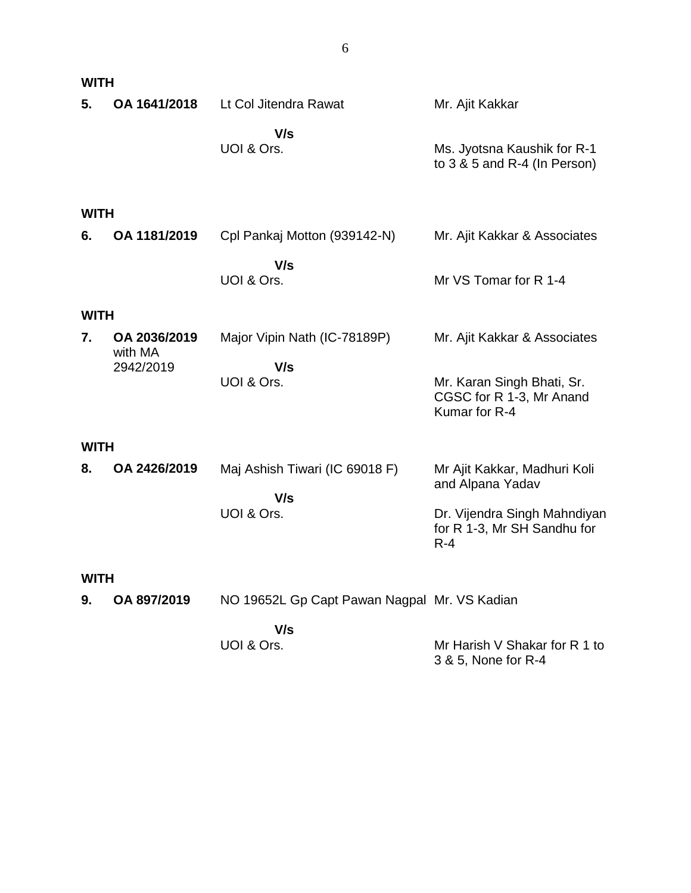|             | <b>WITH</b>             |                                              |                                                                         |  |  |  |
|-------------|-------------------------|----------------------------------------------|-------------------------------------------------------------------------|--|--|--|
| 5.          | OA 1641/2018            | Lt Col Jitendra Rawat                        | Mr. Ajit Kakkar                                                         |  |  |  |
|             |                         | V/s<br>UOI & Ors.                            | Ms. Jyotsna Kaushik for R-1<br>to $3 & 5$ and R-4 (In Person)           |  |  |  |
| <b>WITH</b> |                         |                                              |                                                                         |  |  |  |
| 6.          | OA 1181/2019            | Cpl Pankaj Motton (939142-N)                 | Mr. Ajit Kakkar & Associates                                            |  |  |  |
|             |                         | V/s<br>UOI & Ors.                            | Mr VS Tomar for R 1-4                                                   |  |  |  |
| <b>WITH</b> |                         |                                              |                                                                         |  |  |  |
| 7.          | OA 2036/2019<br>with MA | Major Vipin Nath (IC-78189P)                 | Mr. Ajit Kakkar & Associates                                            |  |  |  |
|             | 2942/2019               | V/s<br>UOI & Ors.                            | Mr. Karan Singh Bhati, Sr.<br>CGSC for R 1-3, Mr Anand<br>Kumar for R-4 |  |  |  |
| <b>WITH</b> |                         |                                              |                                                                         |  |  |  |
| 8.          | OA 2426/2019            | Maj Ashish Tiwari (IC 69018 F)               | Mr Ajit Kakkar, Madhuri Koli<br>and Alpana Yadav                        |  |  |  |
|             |                         | V/s<br>UOI & Ors.                            | Dr. Vijendra Singh Mahndiyan<br>for R 1-3, Mr SH Sandhu for<br>$R - 4$  |  |  |  |
|             | WITH                    |                                              |                                                                         |  |  |  |
| 9.          | OA 897/2019             | NO 19652L Gp Capt Pawan Nagpal Mr. VS Kadian |                                                                         |  |  |  |
|             |                         | V/s<br>UOI & Ors.                            | Mr Harish V Shakar for R 1 to<br>3 & 5, None for R-4                    |  |  |  |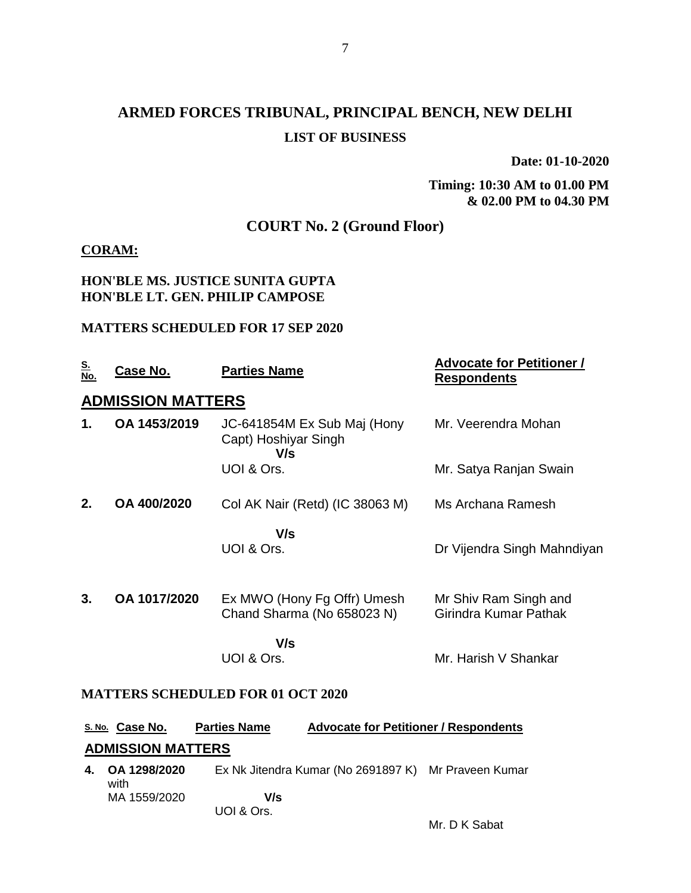# **ARMED FORCES TRIBUNAL, PRINCIPAL BENCH, NEW DELHI LIST OF BUSINESS**

**Date: 01-10-2020**

#### **Timing: 10:30 AM to 01.00 PM & 02.00 PM to 04.30 PM**

## **COURT No. 2 (Ground Floor)**

#### **CORAM:**

#### **HON'BLE MS. JUSTICE SUNITA GUPTA HON'BLE LT. GEN. PHILIP CAMPOSE**

#### **MATTERS SCHEDULED FOR 17 SEP 2020**

| <u>S.</u><br>No. | Case No.                 | <b>Parties Name</b>                                        | <b>Advocate for Petitioner /</b><br><b>Respondents</b> |
|------------------|--------------------------|------------------------------------------------------------|--------------------------------------------------------|
|                  | <b>ADMISSION MATTERS</b> |                                                            |                                                        |
| 1.               | OA 1453/2019             | JC-641854M Ex Sub Maj (Hony<br>Capt) Hoshiyar Singh<br>V/s | Mr. Veerendra Mohan                                    |
|                  |                          | UOI & Ors.                                                 | Mr. Satya Ranjan Swain                                 |
| 2.               | OA 400/2020              | Col AK Nair (Retd) (IC 38063 M)                            | Ms Archana Ramesh                                      |
|                  |                          | V/s<br>UOI & Ors.                                          | Dr Vijendra Singh Mahndiyan                            |
| 3.               | OA 1017/2020             | Ex MWO (Hony Fg Offr) Umesh<br>Chand Sharma (No 658023 N)  | Mr Shiv Ram Singh and<br>Girindra Kumar Pathak         |
|                  |                          | V/s                                                        |                                                        |
|                  |                          | UOI & Ors.                                                 | Mr. Harish V Shankar                                   |

#### **MATTERS SCHEDULED FOR 01 OCT 2020**

| <b>S. No.</b> Case No.   | <b>Parties Name</b> | <b>Advocate for Petitioner / Respondents</b> |  |  |  |
|--------------------------|---------------------|----------------------------------------------|--|--|--|
| <b>ADMISSION MATTERS</b> |                     |                                              |  |  |  |
|                          |                     |                                              |  |  |  |

**4. OA 1298/2020** with MA 1559/2020 Ex Nk Jitendra Kumar (No 2691897 K) Mr Praveen Kumar  **V/s** UOI & Ors.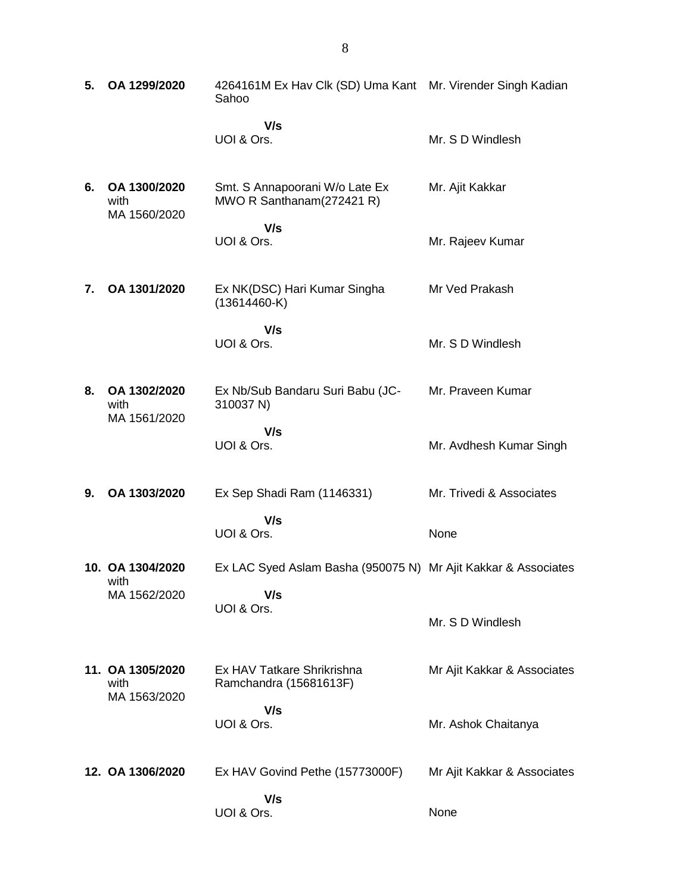| 5. | OA 1299/2020                             | 4264161M Ex Hav Clk (SD) Uma Kant Mr. Virender Singh Kadian<br>Sahoo |                             |
|----|------------------------------------------|----------------------------------------------------------------------|-----------------------------|
|    |                                          | V/s<br>UOI & Ors.                                                    | Mr. S D Windlesh            |
| 6. | OA 1300/2020<br>with<br>MA 1560/2020     | Smt. S Annapoorani W/o Late Ex<br>MWO R Santhanam(272421 R)          | Mr. Ajit Kakkar             |
|    |                                          | V/s<br>UOI & Ors.                                                    | Mr. Rajeev Kumar            |
| 7. | OA 1301/2020                             | Ex NK(DSC) Hari Kumar Singha<br>$(13614460-K)$                       | Mr Ved Prakash              |
|    |                                          | V/s<br>UOI & Ors.                                                    | Mr. S D Windlesh            |
| 8. | OA 1302/2020<br>with<br>MA 1561/2020     | Ex Nb/Sub Bandaru Suri Babu (JC-<br>310037 N)                        | Mr. Praveen Kumar           |
|    |                                          | V/s<br>UOI & Ors.                                                    | Mr. Avdhesh Kumar Singh     |
| 9. | OA 1303/2020                             | Ex Sep Shadi Ram (1146331)                                           | Mr. Trivedi & Associates    |
|    |                                          | V/s<br>UOI & Ors.                                                    | None                        |
|    | 10. OA 1304/2020<br>with                 | Ex LAC Syed Aslam Basha (950075 N) Mr Ajit Kakkar & Associates       |                             |
|    | MA 1562/2020                             | V/s<br>UOI & Ors.                                                    | Mr. S D Windlesh            |
|    | 11. OA 1305/2020<br>with<br>MA 1563/2020 | Ex HAV Tatkare Shrikrishna<br>Ramchandra (15681613F)                 | Mr Ajit Kakkar & Associates |
|    |                                          | V/s<br>UOI & Ors.                                                    | Mr. Ashok Chaitanya         |
|    | 12. OA 1306/2020                         | Ex HAV Govind Pethe (15773000F)                                      | Mr Ajit Kakkar & Associates |
|    |                                          | V/s<br>UOI & Ors.                                                    | None                        |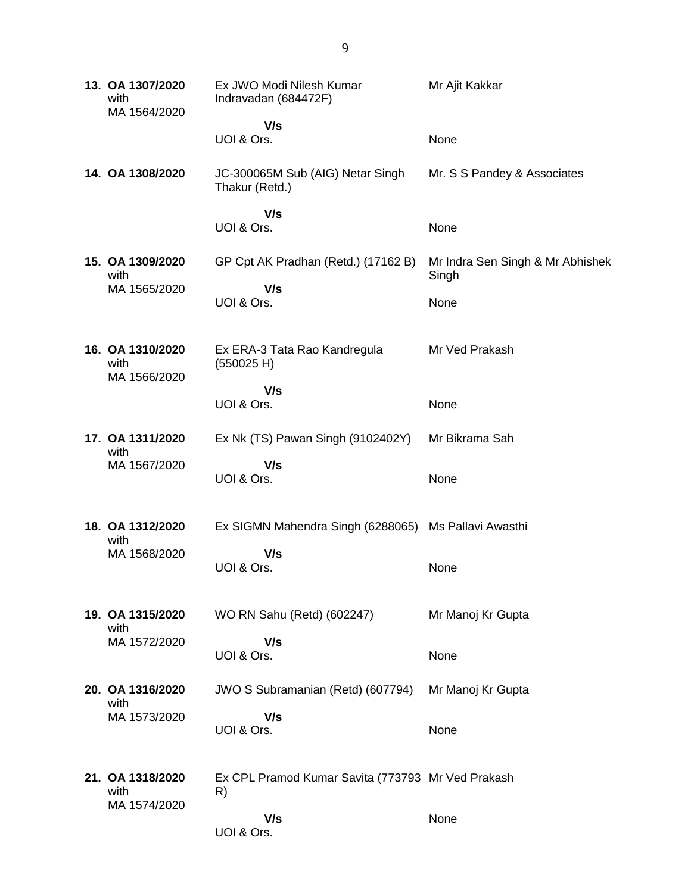**13. OA 1307/2020** with MA 1564/2020 Ex JWO Modi Nilesh Kumar Indravadan (684472F)  **V/s** UOI & Ors. Mr Ajit Kakkar None **14. OA 1308/2020** JC-300065M Sub (AIG) Netar Singh Thakur (Retd.)  **V/s** UOI & Ors. Mr. S S Pandey & Associates None **15. OA 1309/2020** with MA 1565/2020 GP Cpt AK Pradhan (Retd.) (17162 B)  **V/s** UOI & Ors. Mr Indra Sen Singh & Mr Abhishek Singh None **16. OA 1310/2020** with MA 1566/2020 Ex ERA-3 Tata Rao Kandregula (550025 H)  **V/s** UOI & Ors. Mr Ved Prakash None **17. OA 1311/2020** with MA 1567/2020 Ex Nk (TS) Pawan Singh (9102402Y)  **V/s** UOI & Ors. Mr Bikrama Sah None **18. OA 1312/2020** with MA 1568/2020 Ex SIGMN Mahendra Singh (6288065) Ms Pallavi Awasthi  **V/s** UOI & Ors. None **19. OA 1315/2020** with MA 1572/2020 WO RN Sahu (Retd) (602247)  **V/s** UOI & Ors. Mr Manoj Kr Gupta None **20. OA 1316/2020** with MA 1573/2020 JWO S Subramanian (Retd) (607794)  **V/s** UOI & Ors. Mr Manoj Kr Gupta None **21. OA 1318/2020** with MA 1574/2020 Ex CPL Pramod Kumar Savita (773793 Mr Ved Prakash R)  **V/s** UOI & Ors. None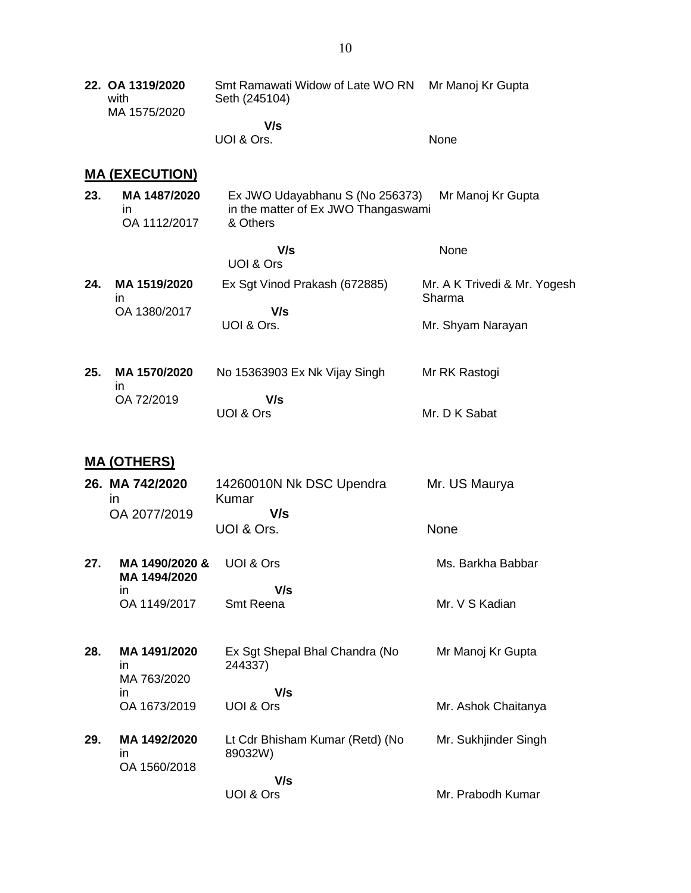**22. OA 1319/2020** with MA 1575/2020 Smt Ramawati Widow of Late WO RN Seth (245104)  **V/s** UOI & Ors. Mr Manoj Kr Gupta None

**MA (EXECUTION)**

- **23. MA 1487/2020** in OA 1112/2017 Ex JWO Udayabhanu S (No 256373) in the matter of Ex JWO Thangaswami & Others Mr Manoj Kr Gupta
- **V/s** UOI & Ors None **24. MA 1519/2020** in OA 1380/2017 Ex Sgt Vinod Prakash (672885)  **V/s** UOI & Ors. Mr. A K Trivedi & Mr. Yogesh Sharma Mr. Shyam Narayan
- **25. MA 1570/2020** in OA 72/2019 No 15363903 Ex Nk Vijay Singh  **V/s** UOI & Ors Mr RK Rastogi Mr. D K Sabat

#### **MA (OTHERS)**

- **26. MA 742/2020** in OA 2077/2019 14260010N Nk DSC Upendra Kumar  **V/s** UOI & Ors. Mr. US Maurya None
- **27. MA 1490/2020 & MA 1494/2020** in OA 1149/2017 UOI & Ors  **V/s** Smt Reena Ms. Barkha Babbar Mr. V S Kadian
- **28. MA 1491/2020** in MA 763/2020 in OA 1673/2019 Ex Sgt Shepal Bhal Chandra (No 244337)  **V/s** UOI & Ors Mr Manoj Kr Gupta Mr. Ashok Chaitanya
- **29. MA 1492/2020** in OA 1560/2018 Lt Cdr Bhisham Kumar (Retd) (No 89032W)  **V/s** UOI & Ors Mr. Sukhjinder Singh Mr. Prabodh Kumar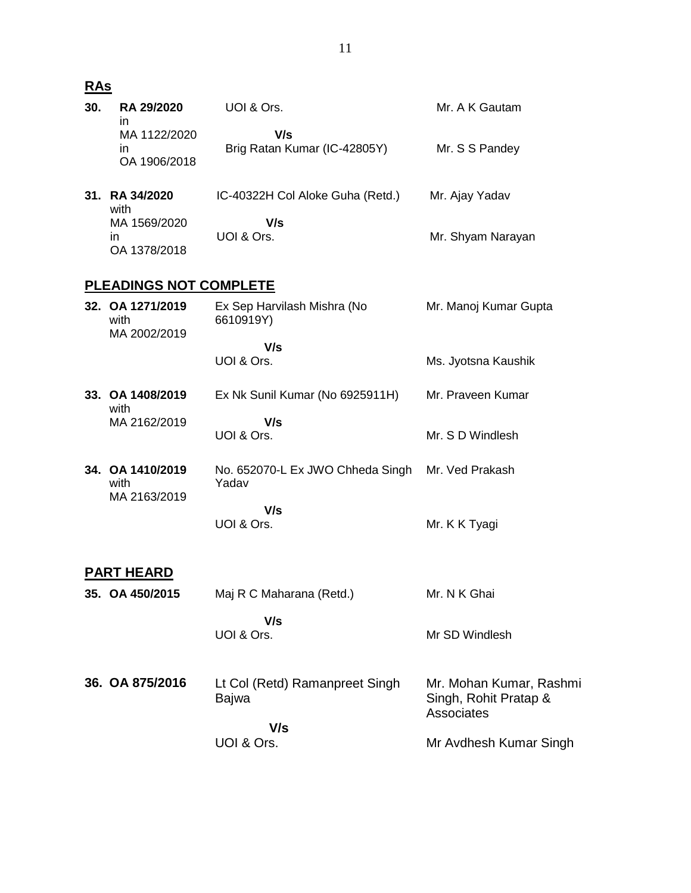| 30. | RA 29/2020<br>in                         | UOI & Ors.                                                | Mr. A K Gautam                                                        |
|-----|------------------------------------------|-----------------------------------------------------------|-----------------------------------------------------------------------|
|     | MA 1122/2020<br>in.<br>OA 1906/2018      | V/s<br>Brig Ratan Kumar (IC-42805Y)                       | Mr. S S Pandey                                                        |
|     | 31. RA 34/2020<br>with                   | IC-40322H Col Aloke Guha (Retd.)                          | Mr. Ajay Yadav                                                        |
|     | MA 1569/2020<br>in.<br>OA 1378/2018      | V/s<br>UOI & Ors.                                         | Mr. Shyam Narayan                                                     |
|     | <b>PLEADINGS NOT COMPLETE</b>            |                                                           |                                                                       |
|     | 32. OA 1271/2019<br>with<br>MA 2002/2019 | Ex Sep Harvilash Mishra (No<br>6610919Y)                  | Mr. Manoj Kumar Gupta                                                 |
|     |                                          | V/s<br>UOI & Ors.                                         | Ms. Jyotsna Kaushik                                                   |
|     |                                          |                                                           |                                                                       |
|     | 33. OA 1408/2019<br>with                 | Ex Nk Sunil Kumar (No 6925911H)                           | Mr. Praveen Kumar                                                     |
|     | MA 2162/2019                             | V/s<br>UOI & Ors.                                         | Mr. S D Windlesh                                                      |
|     | 34. OA 1410/2019<br>with<br>MA 2163/2019 | No. 652070-L Ex JWO Chheda Singh Mr. Ved Prakash<br>Yadav |                                                                       |
|     |                                          | V/s<br>UOI & Ors.                                         | Mr. K K Tyagi                                                         |
|     | <b>PART HEARD</b>                        |                                                           |                                                                       |
|     | 35. OA 450/2015                          | Maj R C Maharana (Retd.)                                  | Mr. N K Ghai                                                          |
|     |                                          | V/s<br>UOI & Ors.                                         | Mr SD Windlesh                                                        |
|     | 36. OA 875/2016                          | Lt Col (Retd) Ramanpreet Singh<br>Bajwa                   | Mr. Mohan Kumar, Rashmi<br>Singh, Rohit Pratap &<br><b>Associates</b> |
|     |                                          | V/s<br>UOI & Ors.                                         | Mr Avdhesh Kumar Singh                                                |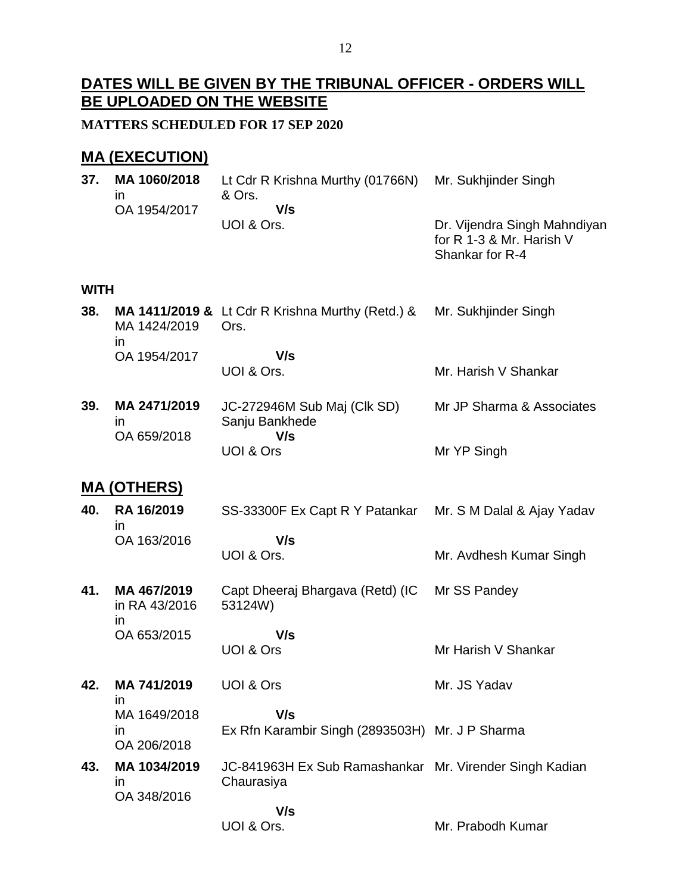## **DATES WILL BE GIVEN BY THE TRIBUNAL OFFICER - ORDERS WILL BE UPLOADED ON THE WEBSITE**

**MATTERS SCHEDULED FOR 17 SEP 2020**

## **MA (EXECUTION)**

| 37.         | MA 1060/2018<br>ın                       | Lt Cdr R Krishna Murthy (01766N)<br>& Ors.                            | Mr. Sukhjinder Singh                                                        |
|-------------|------------------------------------------|-----------------------------------------------------------------------|-----------------------------------------------------------------------------|
|             | OA 1954/2017                             | V/s<br>UOI & Ors.                                                     | Dr. Vijendra Singh Mahndiyan<br>for R 1-3 & Mr. Harish V<br>Shankar for R-4 |
| <b>WITH</b> |                                          |                                                                       |                                                                             |
| 38.         | MA 1424/2019                             | MA 1411/2019 & Lt Cdr R Krishna Murthy (Retd.) &<br>Ors.              | Mr. Sukhjinder Singh                                                        |
|             | in.<br>OA 1954/2017                      | V/s                                                                   |                                                                             |
|             |                                          | UOI & Ors.                                                            | Mr. Harish V Shankar                                                        |
| 39.         | MA 2471/2019<br><i>in</i><br>OA 659/2018 | JC-272946M Sub Maj (Clk SD)<br>Sanju Bankhede<br>V/s                  | Mr JP Sharma & Associates                                                   |
|             |                                          | UOI & Ors                                                             | Mr YP Singh                                                                 |
|             | <u>MA (OTHERS)</u>                       |                                                                       |                                                                             |
| 40.         | RA 16/2019<br>in                         | SS-33300F Ex Capt R Y Patankar                                        | Mr. S M Dalal & Ajay Yadav                                                  |
|             | OA 163/2016                              | V/s<br>UOI & Ors.                                                     | Mr. Avdhesh Kumar Singh                                                     |
| 41.         | MA 467/2019<br>in RA 43/2016<br>in.      | Capt Dheeraj Bhargava (Retd) (IC<br>53124W)                           | Mr SS Pandey                                                                |
|             | OA 653/2015                              | V/s                                                                   |                                                                             |
|             |                                          | UOI & Ors                                                             | Mr Harish V Shankar                                                         |
| 42.         | MA 741/2019<br>ın                        | <b>UOI &amp; Ors</b>                                                  | Mr. JS Yadav                                                                |
|             | MA 1649/2018                             | V/s                                                                   |                                                                             |
|             | ın<br>OA 206/2018                        | Ex Rfn Karambir Singh (2893503H) Mr. J P Sharma                       |                                                                             |
| 43.         | MA 1034/2019<br>ın<br>OA 348/2016        | JC-841963H Ex Sub Ramashankar Mr. Virender Singh Kadian<br>Chaurasiya |                                                                             |
|             |                                          | V/s                                                                   |                                                                             |
|             |                                          | UOI & Ors.                                                            | Mr. Prabodh Kumar                                                           |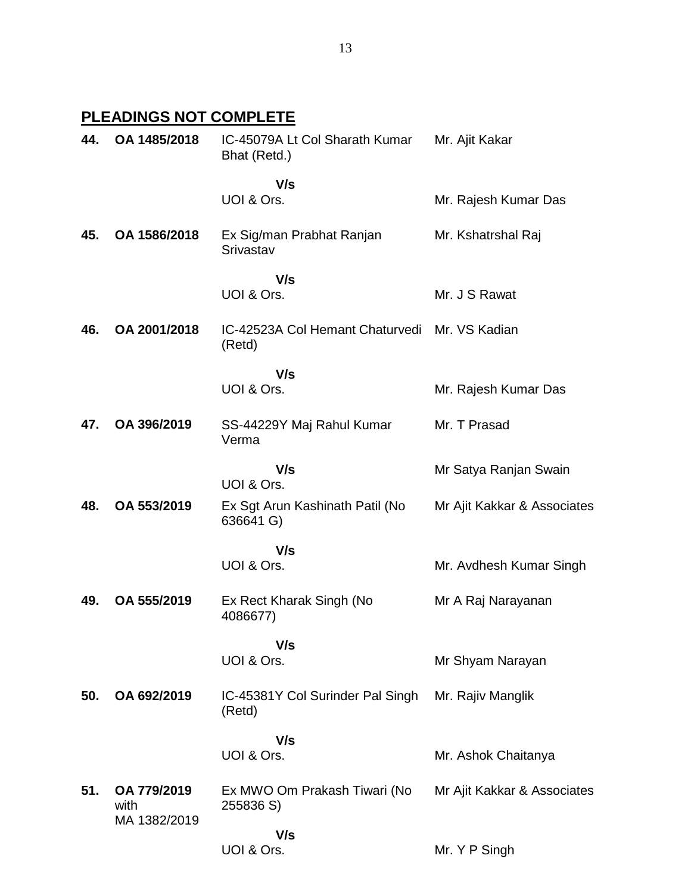# **PLEADINGS NOT COMPLETE**

| 44. | OA 1485/2018                        | IC-45079A Lt Col Sharath Kumar<br>Bhat (Retd.) | Mr. Ajit Kakar              |
|-----|-------------------------------------|------------------------------------------------|-----------------------------|
|     |                                     | V/s<br>UOI & Ors.                              | Mr. Rajesh Kumar Das        |
| 45. | OA 1586/2018                        | Ex Sig/man Prabhat Ranjan<br>Srivastav         | Mr. Kshatrshal Raj          |
|     |                                     | V/s<br>UOI & Ors.                              | Mr. J S Rawat               |
| 46. | OA 2001/2018                        | IC-42523A Col Hemant Chaturvedi<br>(Retd)      | Mr. VS Kadian               |
|     |                                     | V/s<br>UOI & Ors.                              | Mr. Rajesh Kumar Das        |
| 47. | OA 396/2019                         | SS-44229Y Maj Rahul Kumar<br>Verma             | Mr. T Prasad                |
|     |                                     | V/s<br>UOI & Ors.                              | Mr Satya Ranjan Swain       |
| 48. | OA 553/2019                         | Ex Sgt Arun Kashinath Patil (No<br>636641 G)   | Mr Ajit Kakkar & Associates |
|     |                                     | V/s<br>UOI & Ors.                              | Mr. Avdhesh Kumar Singh     |
| 49. | OA 555/2019                         | Ex Rect Kharak Singh (No<br>4086677)           | Mr A Raj Narayanan          |
|     |                                     | V/s<br>UOI & Ors.                              | Mr Shyam Narayan            |
| 50. | OA 692/2019                         | IC-45381Y Col Surinder Pal Singh<br>(Retd)     | Mr. Rajiv Manglik           |
|     |                                     | V/s<br>UOI & Ors.                              | Mr. Ashok Chaitanya         |
| 51. | OA 779/2019<br>with<br>MA 1382/2019 | Ex MWO Om Prakash Tiwari (No<br>255836 S)      | Mr Ajit Kakkar & Associates |
|     |                                     | V/s<br>UOI & Ors.                              | Mr. Y P Singh               |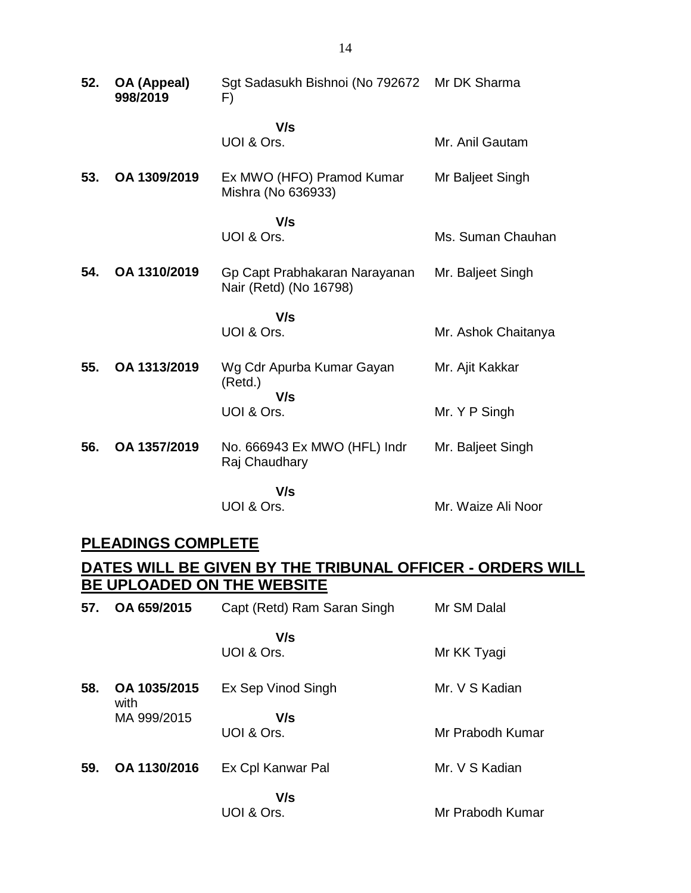| 52. | OA (Appeal)<br>998/2019 | Sgt Sadasukh Bishnoi (No 792672<br>F)                   | Mr DK Sharma        |
|-----|-------------------------|---------------------------------------------------------|---------------------|
|     |                         | V/s<br>UOI & Ors.                                       | Mr. Anil Gautam     |
| 53. | OA 1309/2019            | Ex MWO (HFO) Pramod Kumar<br>Mishra (No 636933)         | Mr Baljeet Singh    |
|     |                         | V/s<br>UOI & Ors.                                       | Ms. Suman Chauhan   |
| 54. | OA 1310/2019            | Gp Capt Prabhakaran Narayanan<br>Nair (Retd) (No 16798) | Mr. Baljeet Singh   |
|     |                         | V/s<br>UOI & Ors.                                       | Mr. Ashok Chaitanya |
| 55. | OA 1313/2019            | Wg Cdr Apurba Kumar Gayan<br>(Retd.)                    | Mr. Ajit Kakkar     |
|     |                         | V/s<br>UOI & Ors.                                       | Mr. Y P Singh       |
| 56. | OA 1357/2019            | No. 666943 Ex MWO (HFL) Indr<br>Raj Chaudhary           | Mr. Baljeet Singh   |
|     |                         | V/s<br>UOI & Ors.                                       | Mr. Waize Ali Noor  |

## **PLEADINGS COMPLETE**

## **DATES WILL BE GIVEN BY THE TRIBUNAL OFFICER - ORDERS WILL BE UPLOADED ON THE WEBSITE**

| 57. | OA 659/2015          | Capt (Retd) Ram Saran Singh | Mr SM Dalal      |
|-----|----------------------|-----------------------------|------------------|
|     |                      | V/s<br>UOI & Ors.           | Mr KK Tyagi      |
| 58. | OA 1035/2015<br>with | Ex Sep Vinod Singh          | Mr. V S Kadian   |
|     | MA 999/2015          | V/s<br>UOI & Ors.           | Mr Prabodh Kumar |
| 59. | OA 1130/2016         | Ex Cpl Kanwar Pal           | Mr. V S Kadian   |
|     |                      | V/s<br>UOI & Ors.           | Mr Prabodh Kumar |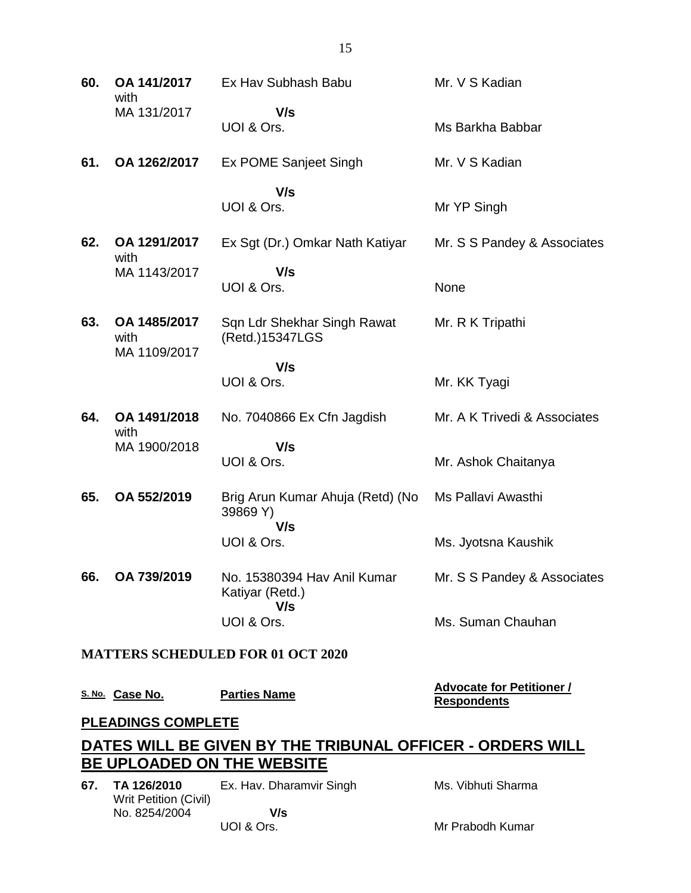| 60.                       | OA 141/2017<br>with                                                                                    | Ex Hav Subhash Babu                                   | Mr. V S Kadian                                         |  |
|---------------------------|--------------------------------------------------------------------------------------------------------|-------------------------------------------------------|--------------------------------------------------------|--|
|                           | MA 131/2017                                                                                            | V/s<br>UOI & Ors.                                     | Ms Barkha Babbar                                       |  |
| 61.                       | OA 1262/2017                                                                                           | Ex POME Sanjeet Singh                                 | Mr. V S Kadian                                         |  |
|                           |                                                                                                        | V/s<br>UOI & Ors.                                     | Mr YP Singh                                            |  |
| 62.                       | OA 1291/2017<br>with                                                                                   | Ex Sgt (Dr.) Omkar Nath Katiyar                       | Mr. S S Pandey & Associates                            |  |
|                           | MA 1143/2017                                                                                           | V/s<br>UOI & Ors.                                     | None                                                   |  |
| 63.                       | OA 1485/2017<br>with<br>MA 1109/2017                                                                   | Sqn Ldr Shekhar Singh Rawat<br>(Retd.)15347LGS        | Mr. R K Tripathi                                       |  |
|                           |                                                                                                        | V/s<br>UOI & Ors.                                     | Mr. KK Tyagi                                           |  |
| 64.                       | OA 1491/2018<br>with                                                                                   | No. 7040866 Ex Cfn Jagdish                            | Mr. A K Trivedi & Associates                           |  |
|                           | MA 1900/2018                                                                                           | V/s<br>UOI & Ors.                                     | Mr. Ashok Chaitanya                                    |  |
| 65.                       | OA 552/2019                                                                                            | Brig Arun Kumar Ahuja (Retd) (No<br>39869 Y)<br>V/s   | Ms Pallavi Awasthi                                     |  |
|                           |                                                                                                        | UOI & Ors.                                            | Ms. Jyotsna Kaushik                                    |  |
| 66.                       | OA 739/2019                                                                                            | No. 15380394 Hav Anil Kumar<br>Katiyar (Retd.)<br>V/s | Mr. S S Pandey & Associates                            |  |
|                           |                                                                                                        | UOI & Ors.                                            | Ms. Suman Chauhan                                      |  |
|                           |                                                                                                        | <b>MATTERS SCHEDULED FOR 01 OCT 2020</b>              |                                                        |  |
|                           | S. No. Case No.                                                                                        | <b>Parties Name</b>                                   | <b>Advocate for Petitioner /</b><br><b>Respondents</b> |  |
| <b>PLEADINGS COMPLETE</b> |                                                                                                        |                                                       |                                                        |  |
|                           | <u>DATES WILL BE GIVEN BY THE TRIBUNAL OFFICER - ORDERS WILL </u><br><b>BE UPLOADED ON THE WEBSITE</b> |                                                       |                                                        |  |
|                           |                                                                                                        |                                                       |                                                        |  |
| 67.                       | TA 126/2010<br><b>Writ Petition (Civil)</b>                                                            | Ex. Hav. Dharamvir Singh                              | Ms. Vibhuti Sharma                                     |  |
|                           | No. 8254/2004                                                                                          | V/s                                                   |                                                        |  |

Mr Prabodh Kumar

UOI & Ors.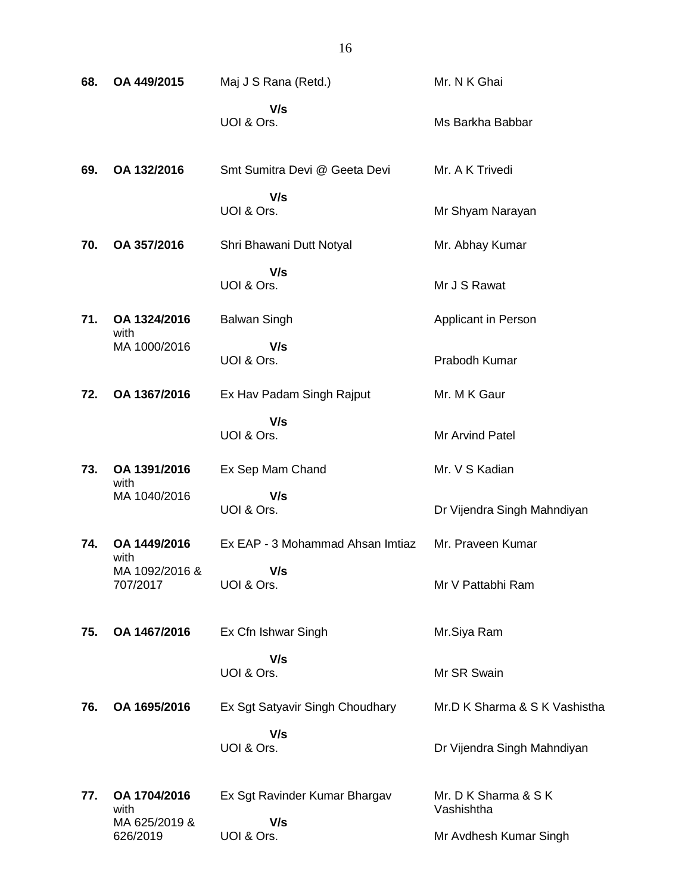| 68. | OA 449/2015                        | Maj J S Rana (Retd.)             | Mr. N K Ghai                       |
|-----|------------------------------------|----------------------------------|------------------------------------|
|     |                                    | V/s<br>UOI & Ors.                | Ms Barkha Babbar                   |
| 69. | OA 132/2016                        | Smt Sumitra Devi @ Geeta Devi    | Mr. A K Trivedi                    |
|     |                                    | V/s<br>UOI & Ors.                | Mr Shyam Narayan                   |
| 70. | OA 357/2016                        | Shri Bhawani Dutt Notyal         | Mr. Abhay Kumar                    |
|     |                                    | V/s<br>UOI & Ors.                | Mr J S Rawat                       |
| 71. | OA 1324/2016<br>with               | <b>Balwan Singh</b>              | Applicant in Person                |
|     | MA 1000/2016                       | V/s<br>UOI & Ors.                | Prabodh Kumar                      |
| 72. | OA 1367/2016                       | Ex Hav Padam Singh Rajput        | Mr. M K Gaur                       |
|     |                                    | V/s<br>UOI & Ors.                | Mr Arvind Patel                    |
| 73. | OA 1391/2016<br>with               | Ex Sep Mam Chand                 | Mr. V S Kadian                     |
|     | MA 1040/2016                       | V/s<br>UOI & Ors.                | Dr Vijendra Singh Mahndiyan        |
| 74. | OA 1449/2016                       | Ex EAP - 3 Mohammad Ahsan Imtiaz | Mr. Praveen Kumar                  |
|     | with<br>MA 1092/2016 &<br>707/2017 | V/s<br>UOI & Ors.                | Mr V Pattabhi Ram                  |
| 75. | OA 1467/2016                       | Ex Cfn Ishwar Singh              | Mr.Siya Ram                        |
|     |                                    | V/s<br>UOI & Ors.                | Mr SR Swain                        |
| 76. | OA 1695/2016                       | Ex Sgt Satyavir Singh Choudhary  | Mr.D K Sharma & S K Vashistha      |
|     |                                    | V/s<br>UOI & Ors.                | Dr Vijendra Singh Mahndiyan        |
| 77. | OA 1704/2016<br>with               | Ex Sgt Ravinder Kumar Bhargav    | Mr. D K Sharma & S K<br>Vashishtha |
|     | MA 625/2019 &<br>626/2019          | V/s<br>UOI & Ors.                | Mr Avdhesh Kumar Singh             |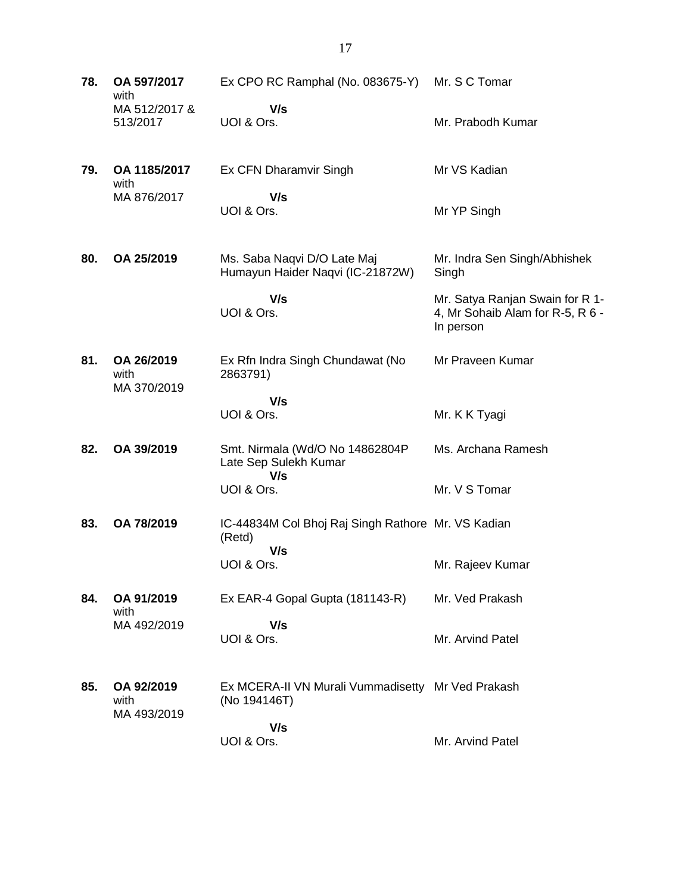**78. OA 597/2017** with MA 512/2017 & 513/2017 Ex CPO RC Ramphal (No. 083675-Y)  **V/s** UOI & Ors. Mr. S C Tomar Mr. Prabodh Kumar **79. OA 1185/2017** with MA 876/2017 Ex CFN Dharamvir Singh  **V/s** UOI & Ors. Mr VS Kadian Mr YP Singh **80. OA 25/2019** Ms. Saba Naqvi D/O Late Maj Humayun Haider Naqvi (IC-21872W)  **V/s** UOI & Ors. Mr. Indra Sen Singh/Abhishek Singh Mr. Satya Ranjan Swain for R 1- 4, Mr Sohaib Alam for R-5, R 6 - In person **81. OA 26/2019** with MA 370/2019 Ex Rfn Indra Singh Chundawat (No 2863791)  **V/s** UOI & Ors. Mr Praveen Kumar Mr. K K Tyagi **82. OA 39/2019** Smt. Nirmala (Wd/O No 14862804P Late Sep Sulekh Kumar  **V/s** UOI & Ors. Ms. Archana Ramesh Mr. V S Tomar **83. OA 78/2019** IC-44834M Col Bhoj Raj Singh Rathore Mr. VS Kadian (Retd)  **V/s** UOI & Ors. Mr. Rajeev Kumar **84. OA 91/2019** with MA 492/2019 Ex EAR-4 Gopal Gupta (181143-R)  **V/s** UOI & Ors. Mr. Ved Prakash Mr. Arvind Patel **85. OA 92/2019** with MA 493/2019 Ex MCERA-II VN Murali Vummadisetty Mr Ved Prakash (No 194146T)  **V/s** UOI & Ors. Mr. Arvind Patel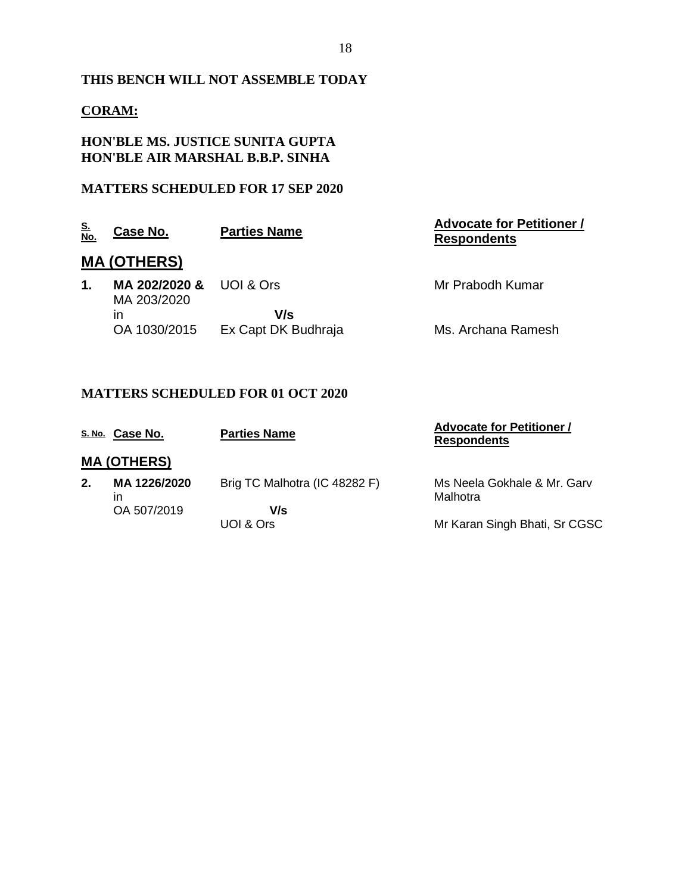### **THIS BENCH WILL NOT ASSEMBLE TODAY**

### **CORAM:**

#### **HON'BLE MS. JUSTICE SUNITA GUPTA HON'BLE AIR MARSHAL B.B.P. SINHA**

#### **MATTERS SCHEDULED FOR 17 SEP 2020**

| <u>S.</u><br>No.   | <u>Case No.</u>              | <b>Parties Name</b> | <b>Advocate for Petitioner /</b><br><b>Respondents</b> |  |
|--------------------|------------------------------|---------------------|--------------------------------------------------------|--|
| <b>MA (OTHERS)</b> |                              |                     |                                                        |  |
| 1.                 | MA 202/2020 &<br>MA 203/2020 | <b>UOL&amp; Ors</b> | Mr Prabodh Kumar                                       |  |
|                    | ın                           | V/s                 |                                                        |  |
|                    | OA 1030/2015                 | Ex Capt DK Budhraja | Ms. Archana Ramesh                                     |  |

## **MATTERS SCHEDULED FOR 01 OCT 2020**

|    | S. No. Case No.    | <b>Parties Name</b>           | <b>Advocate for Petitioner /</b><br><b>Respondents</b> |
|----|--------------------|-------------------------------|--------------------------------------------------------|
|    | <b>MA (OTHERS)</b> |                               |                                                        |
| 2. | MA 1226/2020<br>ın | Brig TC Malhotra (IC 48282 F) | Ms Neela Gokhale & Mr. Garv<br>Malhotra                |
|    | OA 507/2019        | V/s<br>UOI & Ors              | Mr Karan Singh Bhati, Sr CGSC                          |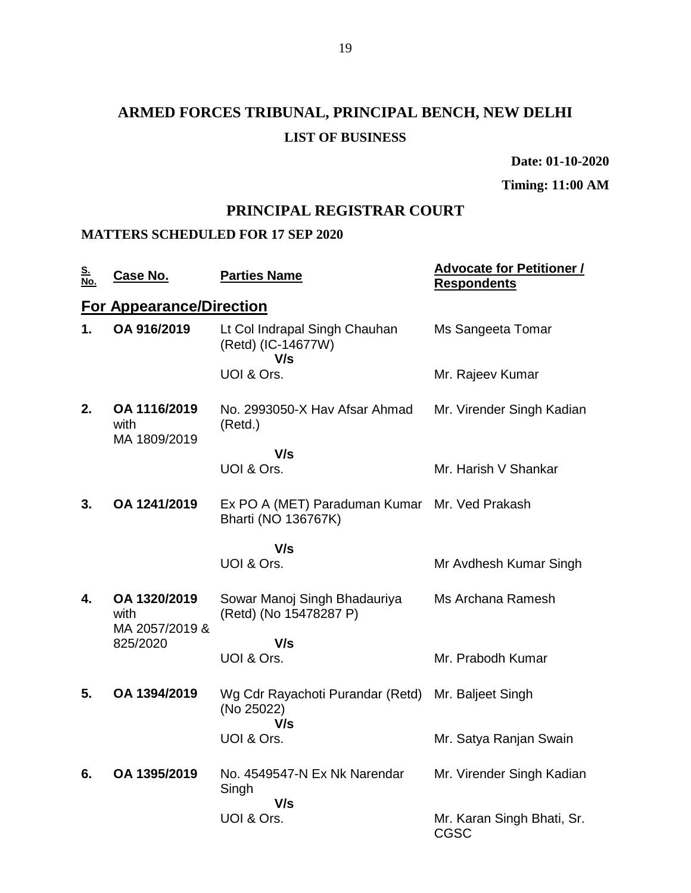# **ARMED FORCES TRIBUNAL, PRINCIPAL BENCH, NEW DELHI LIST OF BUSINESS**

**Date: 01-10-2020**

**Timing: 11:00 AM**

## **PRINCIPAL REGISTRAR COURT**

#### **MATTERS SCHEDULED FOR 17 SEP 2020**

| <u>S.</u><br>No. | <u>Case No.</u>                                    | <b>Parties Name</b>                                         | <b>Advocate for Petitioner /</b><br><b>Respondents</b> |
|------------------|----------------------------------------------------|-------------------------------------------------------------|--------------------------------------------------------|
|                  | <b>For Appearance/Direction</b>                    |                                                             |                                                        |
| 1.               | OA 916/2019                                        | Lt Col Indrapal Singh Chauhan<br>(Retd) (IC-14677W)<br>V/s  | Ms Sangeeta Tomar                                      |
|                  |                                                    | UOI & Ors.                                                  | Mr. Rajeev Kumar                                       |
| 2.               | OA 1116/2019<br>with<br>MA 1809/2019               | No. 2993050-X Hav Afsar Ahmad<br>(Retd.)                    | Mr. Virender Singh Kadian                              |
|                  |                                                    | V/s                                                         |                                                        |
|                  |                                                    | UOI & Ors.                                                  | Mr. Harish V Shankar                                   |
| 3.               | OA 1241/2019                                       | Ex PO A (MET) Paraduman Kumar<br><b>Bharti (NO 136767K)</b> | Mr. Ved Prakash                                        |
|                  |                                                    | V/s                                                         |                                                        |
|                  |                                                    | UOI & Ors.                                                  | Mr Avdhesh Kumar Singh                                 |
| 4.               | OA 1320/2019<br>with<br>MA 2057/2019 &<br>825/2020 | Sowar Manoj Singh Bhadauriya<br>(Retd) (No 15478287 P)      | Ms Archana Ramesh                                      |
|                  |                                                    | V/s                                                         |                                                        |
|                  |                                                    | UOI & Ors.                                                  | Mr. Prabodh Kumar                                      |
| 5.               | OA 1394/2019                                       | Wg Cdr Rayachoti Purandar (Retd)<br>(No 25022)<br>V/s       | Mr. Baljeet Singh                                      |
|                  |                                                    | UOI & Ors.                                                  | Mr. Satya Ranjan Swain                                 |
| 6.               | OA 1395/2019                                       | No. 4549547-N Ex Nk Narendar<br>Singh<br>V/s                | Mr. Virender Singh Kadian                              |
|                  |                                                    | UOI & Ors.                                                  | Mr. Karan Singh Bhati, Sr.<br><b>CGSC</b>              |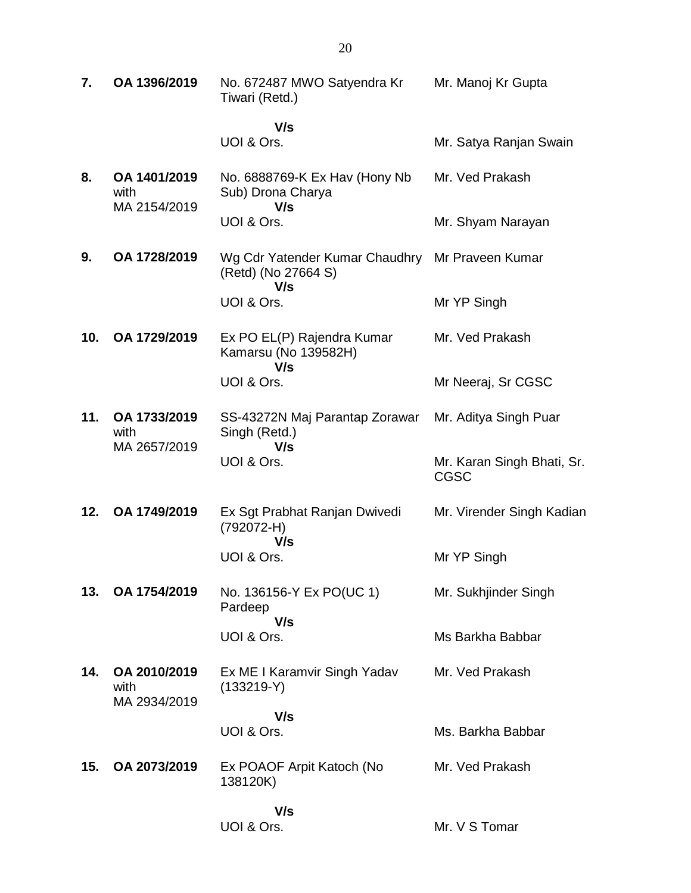| 7.  | OA 1396/2019                         | No. 672487 MWO Satyendra Kr<br>Tiwari (Retd.)                | Mr. Manoj Kr Gupta                        |
|-----|--------------------------------------|--------------------------------------------------------------|-------------------------------------------|
|     |                                      | V/s<br>UOI & Ors.                                            | Mr. Satya Ranjan Swain                    |
| 8.  | OA 1401/2019<br>with<br>MA 2154/2019 | No. 6888769-K Ex Hav (Hony Nb<br>Sub) Drona Charya<br>V/s    | Mr. Ved Prakash                           |
|     |                                      | UOI & Ors.                                                   | Mr. Shyam Narayan                         |
| 9.  | OA 1728/2019                         | Wg Cdr Yatender Kumar Chaudhry<br>(Retd) (No 27664 S)<br>V/s | Mr Praveen Kumar                          |
|     |                                      | UOI & Ors.                                                   | Mr YP Singh                               |
| 10. | OA 1729/2019                         | Ex PO EL(P) Rajendra Kumar<br>Kamarsu (No 139582H)<br>V/s    | Mr. Ved Prakash                           |
|     |                                      | UOI & Ors.                                                   | Mr Neeraj, Sr CGSC                        |
| 11. | OA 1733/2019<br>with<br>MA 2657/2019 | SS-43272N Maj Parantap Zorawar<br>Singh (Retd.)<br>V/s       | Mr. Aditya Singh Puar                     |
|     |                                      | UOI & Ors.                                                   | Mr. Karan Singh Bhati, Sr.<br><b>CGSC</b> |
| 12. | OA 1749/2019                         | Ex Sgt Prabhat Ranjan Dwivedi<br>(792072-H)<br>V/s           | Mr. Virender Singh Kadian                 |
|     |                                      | UOI & Ors.                                                   | Mr YP Singh                               |
| 13. | OA 1754/2019                         | No. 136156-Y Ex PO(UC 1)<br>Pardeep<br>V/s                   | Mr. Sukhjinder Singh                      |
|     |                                      | UOI & Ors.                                                   | Ms Barkha Babbar                          |
| 14. | OA 2010/2019<br>with<br>MA 2934/2019 | Ex ME I Karamvir Singh Yadav<br>$(133219-Y)$                 | Mr. Ved Prakash                           |
|     |                                      | V/s<br>UOI & Ors.                                            | Ms. Barkha Babbar                         |
| 15. | OA 2073/2019                         | Ex POAOF Arpit Katoch (No<br>138120K)                        | Mr. Ved Prakash                           |
|     |                                      | V/s<br>UOI & Ors.                                            | Mr. V S Tomar                             |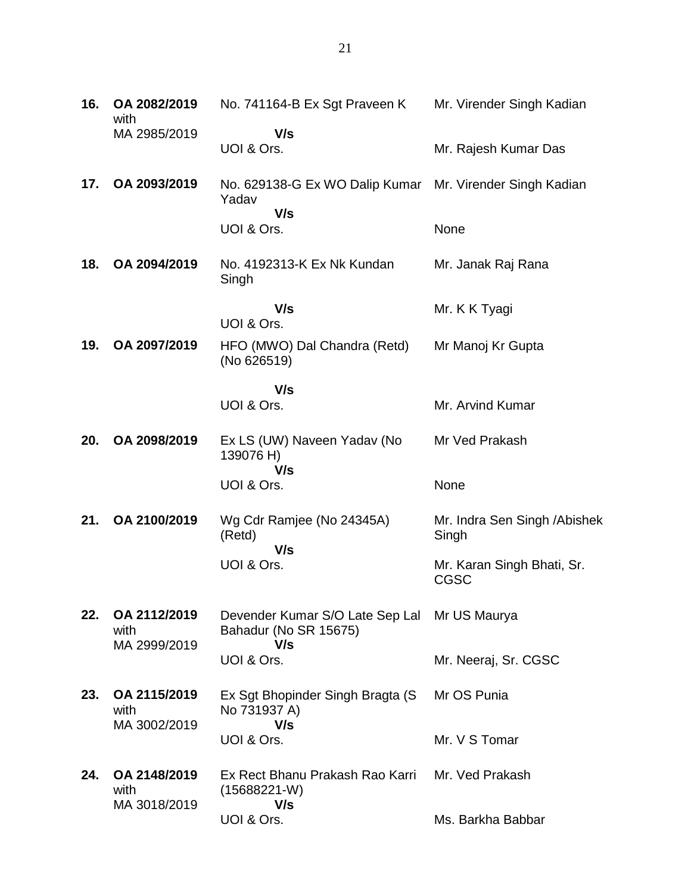| 16. | OA 2082/2019<br>with                 | No. 741164-B Ex Sgt Praveen K                                                | Mr. Virender Singh Kadian                 |
|-----|--------------------------------------|------------------------------------------------------------------------------|-------------------------------------------|
|     | MA 2985/2019                         | V/s<br>UOI & Ors.                                                            | Mr. Rajesh Kumar Das                      |
| 17. | OA 2093/2019                         | No. 629138-G Ex WO Dalip Kumar Mr. Virender Singh Kadian<br>Yadav            |                                           |
|     |                                      | V/s<br>UOI & Ors.                                                            | None                                      |
| 18. | OA 2094/2019                         | No. 4192313-K Ex Nk Kundan<br>Singh                                          | Mr. Janak Raj Rana                        |
|     |                                      | V/s<br>UOI & Ors.                                                            | Mr. K K Tyagi                             |
| 19. | OA 2097/2019                         | HFO (MWO) Dal Chandra (Retd)<br>(No 626519)                                  | Mr Manoj Kr Gupta                         |
|     |                                      | V/s<br>UOI & Ors.                                                            | Mr. Arvind Kumar                          |
| 20. | OA 2098/2019                         | Ex LS (UW) Naveen Yadav (No<br>139076 H)<br>V/s                              | Mr Ved Prakash                            |
|     |                                      | UOI & Ors.                                                                   | None                                      |
| 21. | OA 2100/2019                         | Wg Cdr Ramjee (No 24345A)<br>(Retd)<br>V/s                                   | Mr. Indra Sen Singh / Abishek<br>Singh    |
|     |                                      | UOI & Ors.                                                                   | Mr. Karan Singh Bhati, Sr.<br><b>CGSC</b> |
| 22. | OA 2112/2019<br>with<br>MA 2999/2019 | Devender Kumar S/O Late Sep Lal Mr US Maurya<br>Bahadur (No SR 15675)<br>V/s |                                           |
|     |                                      | UOI & Ors.                                                                   | Mr. Neeraj, Sr. CGSC                      |
| 23. | OA 2115/2019<br>with<br>MA 3002/2019 | Ex Sgt Bhopinder Singh Bragta (S<br>No 731937 A)<br>V/s                      | Mr OS Punia                               |
|     |                                      | UOI & Ors.                                                                   | Mr. V S Tomar                             |
| 24. | OA 2148/2019<br>with<br>MA 3018/2019 | Ex Rect Bhanu Prakash Rao Karri<br>$(15688221-W)$<br>V/s                     | Mr. Ved Prakash                           |
|     |                                      | UOI & Ors.                                                                   | Ms. Barkha Babbar                         |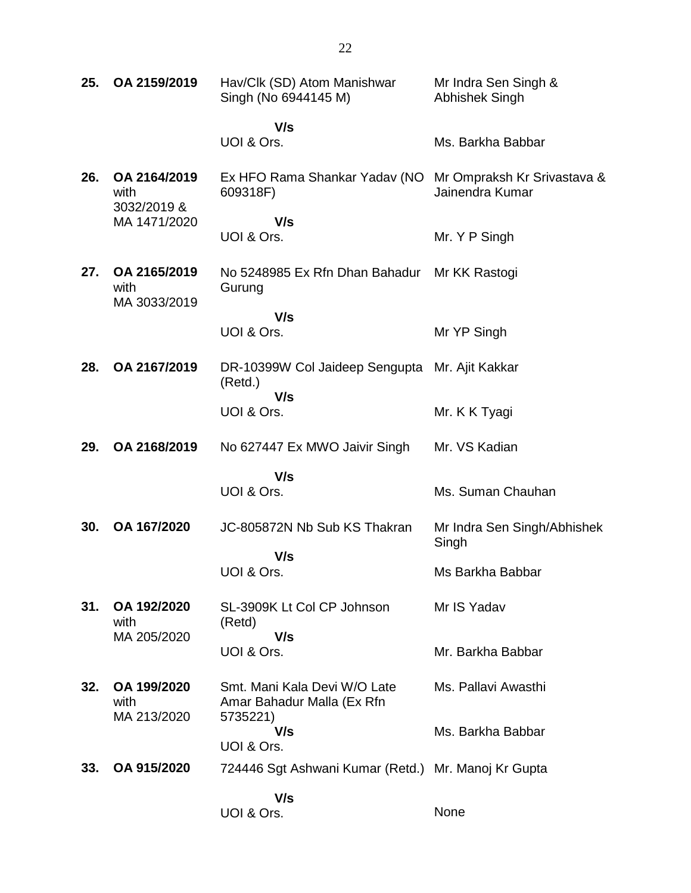| 25. | OA 2159/2019                         | Hav/Clk (SD) Atom Manishwar<br>Singh (No 6944145 M)        | Mr Indra Sen Singh &<br>Abhishek Singh         |
|-----|--------------------------------------|------------------------------------------------------------|------------------------------------------------|
|     |                                      | V/s                                                        |                                                |
|     |                                      | UOI & Ors.                                                 | Ms. Barkha Babbar                              |
| 26. | OA 2164/2019<br>with<br>3032/2019 &  | Ex HFO Rama Shankar Yadav (NO<br>609318F)                  | Mr Ompraksh Kr Srivastava &<br>Jainendra Kumar |
|     | MA 1471/2020                         | V/s<br>UOI & Ors.                                          | Mr. Y P Singh                                  |
| 27. | OA 2165/2019<br>with<br>MA 3033/2019 | No 5248985 Ex Rfn Dhan Bahadur<br>Gurung                   | Mr KK Rastogi                                  |
|     |                                      | V/s                                                        |                                                |
|     |                                      | UOI & Ors.                                                 | Mr YP Singh                                    |
| 28. | OA 2167/2019                         | DR-10399W Col Jaideep Sengupta Mr. Ajit Kakkar<br>(Retd.)  |                                                |
|     |                                      | V/s<br>UOI & Ors.                                          | Mr. K K Tyagi                                  |
| 29. | OA 2168/2019                         | No 627447 Ex MWO Jaivir Singh                              | Mr. VS Kadian                                  |
|     |                                      | V/s                                                        |                                                |
|     |                                      | UOI & Ors.                                                 | Ms. Suman Chauhan                              |
| 30. | OA 167/2020                          | JC-805872N Nb Sub KS Thakran                               | Mr Indra Sen Singh/Abhishek<br>Singh           |
|     |                                      | V/s<br>UOI & Ors.                                          | Ms Barkha Babbar                               |
| 31. | OA 192/2020<br>with                  | SL-3909K Lt Col CP Johnson<br>(Retd)                       | Mr IS Yadav                                    |
|     | MA 205/2020                          | V/s<br>UOI & Ors.                                          | Mr. Barkha Babbar                              |
| 32. | OA 199/2020<br>with                  | Smt. Mani Kala Devi W/O Late<br>Amar Bahadur Malla (Ex Rfn | Ms. Pallavi Awasthi                            |
|     | MA 213/2020                          | 5735221)<br>V/s<br>UOI & Ors.                              | Ms. Barkha Babbar                              |
| 33. | OA 915/2020                          | 724446 Sgt Ashwani Kumar (Retd.) Mr. Manoj Kr Gupta        |                                                |
|     |                                      | V/s<br>UOI & Ors.                                          | None                                           |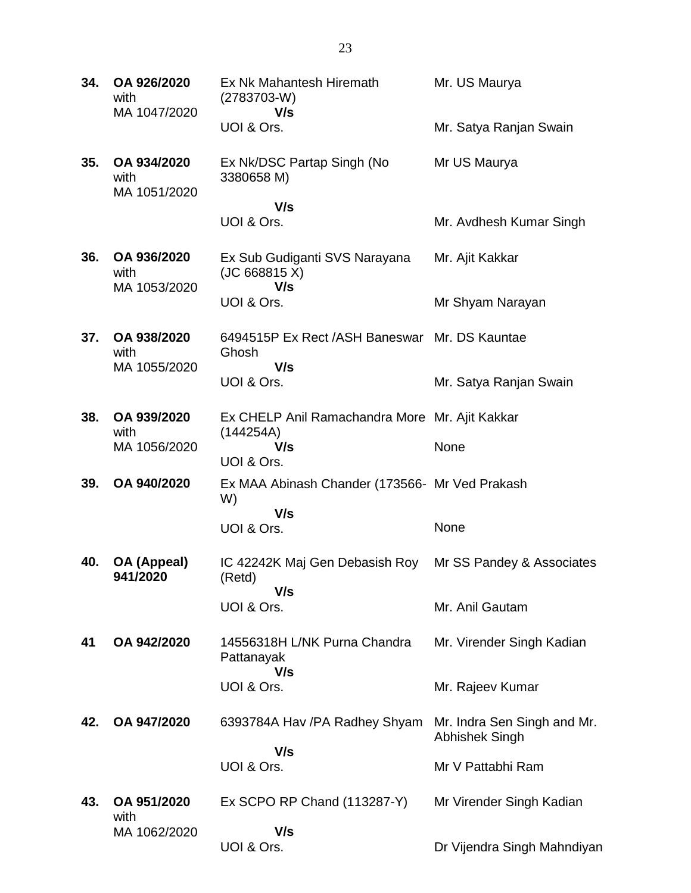| 34. | OA 926/2020<br>with<br>MA 1047/2020 | Ex Nk Mahantesh Hiremath<br>$(2783703-W)$<br>V/s            | Mr. US Maurya                                 |
|-----|-------------------------------------|-------------------------------------------------------------|-----------------------------------------------|
|     |                                     | UOI & Ors.                                                  | Mr. Satya Ranjan Swain                        |
| 35. | OA 934/2020<br>with<br>MA 1051/2020 | Ex Nk/DSC Partap Singh (No<br>3380658 M)                    | Mr US Maurya                                  |
|     |                                     | V/s<br>UOI & Ors.                                           | Mr. Avdhesh Kumar Singh                       |
| 36. | OA 936/2020<br>with<br>MA 1053/2020 | Ex Sub Gudiganti SVS Narayana<br>(JC 668815 X)<br>V/s       | Mr. Ajit Kakkar                               |
|     |                                     | UOI & Ors.                                                  | Mr Shyam Narayan                              |
| 37. | OA 938/2020<br>with                 | 6494515P Ex Rect / ASH Baneswar Mr. DS Kauntae<br>Ghosh     |                                               |
|     | MA 1055/2020                        | V/s<br>UOI & Ors.                                           | Mr. Satya Ranjan Swain                        |
| 38. | OA 939/2020<br>with                 | Ex CHELP Anil Ramachandra More Mr. Ajit Kakkar<br>(144254A) |                                               |
|     | MA 1056/2020                        | V/s<br>UOI & Ors.                                           | None                                          |
| 39. | OA 940/2020                         | Ex MAA Abinash Chander (173566- Mr Ved Prakash<br>W)        |                                               |
|     |                                     | V/s<br>UOI & Ors.                                           | None                                          |
| 40. | OA (Appeal)<br>941/2020             | IC 42242K Maj Gen Debasish Roy<br>(Retd)                    | Mr SS Pandey & Associates                     |
|     |                                     | V/s<br>UOI & Ors.                                           | Mr. Anil Gautam                               |
| 41  | OA 942/2020                         | 14556318H L/NK Purna Chandra<br>Pattanayak<br>V/s           | Mr. Virender Singh Kadian                     |
|     |                                     | UOI & Ors.                                                  | Mr. Rajeev Kumar                              |
| 42. | OA 947/2020                         | 6393784A Hav / PA Radhey Shyam                              | Mr. Indra Sen Singh and Mr.<br>Abhishek Singh |
|     |                                     | V/s<br>UOI & Ors.                                           | Mr V Pattabhi Ram                             |
| 43. | OA 951/2020<br>with                 | $Ex$ SCPO RP Chand $(113287-Y)$                             | Mr Virender Singh Kadian                      |
|     | MA 1062/2020                        | V/s<br>UOI & Ors.                                           | Dr Vijendra Singh Mahndiyan                   |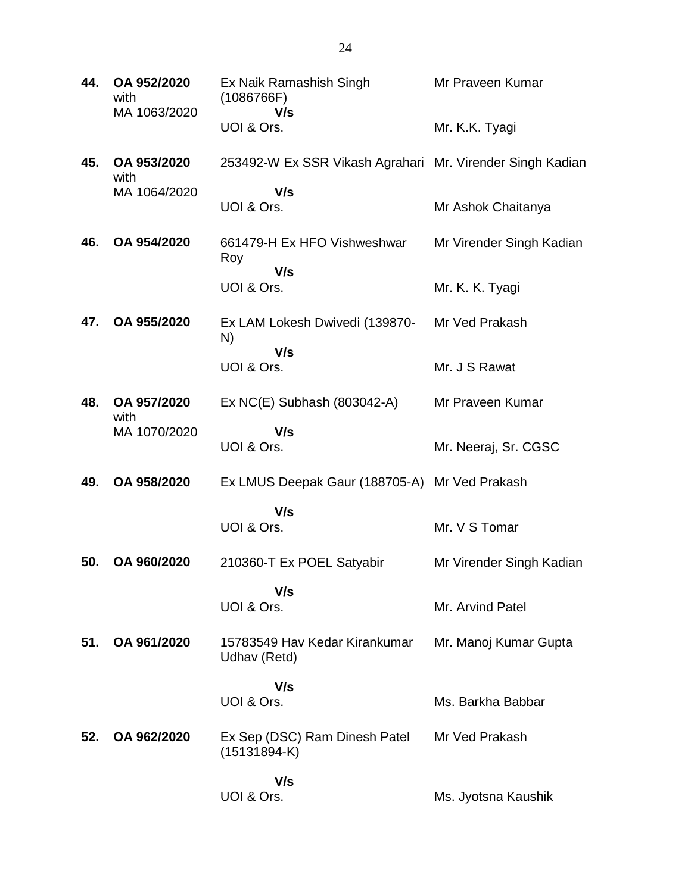| 44. | OA 952/2020<br>with<br>MA 1063/2020 | Ex Naik Ramashish Singh<br>(1086766F)<br>V/s              | Mr Praveen Kumar         |
|-----|-------------------------------------|-----------------------------------------------------------|--------------------------|
|     |                                     | UOI & Ors.                                                | Mr. K.K. Tyagi           |
| 45. | OA 953/2020<br>with                 | 253492-W Ex SSR Vikash Agrahari Mr. Virender Singh Kadian |                          |
|     | MA 1064/2020                        | V/s<br>UOI & Ors.                                         | Mr Ashok Chaitanya       |
| 46. | OA 954/2020                         | 661479-H Ex HFO Vishweshwar<br>Roy                        | Mr Virender Singh Kadian |
|     |                                     | V/s<br>UOI & Ors.                                         | Mr. K. K. Tyagi          |
| 47. | OA 955/2020                         | Ex LAM Lokesh Dwivedi (139870-<br>N)                      | Mr Ved Prakash           |
|     |                                     | V/s<br>UOI & Ors.                                         | Mr. J S Rawat            |
| 48. | OA 957/2020<br>with                 | Ex NC(E) Subhash (803042-A)                               | Mr Praveen Kumar         |
|     | MA 1070/2020                        | V/s<br>UOI & Ors.                                         | Mr. Neeraj, Sr. CGSC     |
| 49. | OA 958/2020                         | Ex LMUS Deepak Gaur (188705-A) Mr Ved Prakash             |                          |
|     |                                     | V/s<br>UOI & Ors.                                         | Mr. V S Tomar            |
| 50. | OA 960/2020                         | 210360-T Ex POEL Satyabir                                 | Mr Virender Singh Kadian |
|     |                                     | V/s<br>UOI & Ors.                                         | Mr. Arvind Patel         |
| 51. | OA 961/2020                         | 15783549 Hav Kedar Kirankumar<br>Udhav (Retd)             | Mr. Manoj Kumar Gupta    |
|     |                                     | V/s<br>UOI & Ors.                                         | Ms. Barkha Babbar        |
| 52. | OA 962/2020                         | Ex Sep (DSC) Ram Dinesh Patel<br>$(15131894-K)$           | Mr Ved Prakash           |
|     |                                     | V/s<br>UOI & Ors.                                         | Ms. Jyotsna Kaushik      |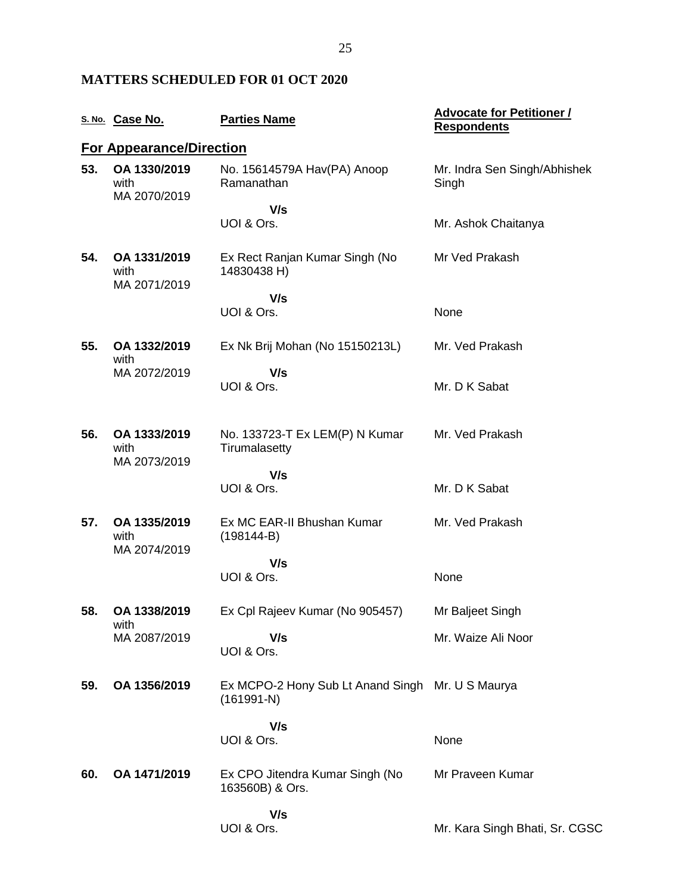### **MATTERS SCHEDULED FOR 01 OCT 2020**

|     | S. No. Case No.                      | <b>Parties Name</b>                                              | <b>Advocate for Petitioner /</b><br><b>Respondents</b> |
|-----|--------------------------------------|------------------------------------------------------------------|--------------------------------------------------------|
|     | <b>For Appearance/Direction</b>      |                                                                  |                                                        |
| 53. | OA 1330/2019<br>with<br>MA 2070/2019 | No. 15614579A Hav(PA) Anoop<br>Ramanathan                        | Mr. Indra Sen Singh/Abhishek<br>Singh                  |
|     |                                      | V/s<br>UOI & Ors.                                                | Mr. Ashok Chaitanya                                    |
| 54. | OA 1331/2019<br>with<br>MA 2071/2019 | Ex Rect Ranjan Kumar Singh (No<br>14830438 H)                    | Mr Ved Prakash                                         |
|     |                                      | V/s<br>UOI & Ors.                                                | None                                                   |
| 55. | OA 1332/2019<br>with                 | Ex Nk Brij Mohan (No 15150213L)                                  | Mr. Ved Prakash                                        |
|     | MA 2072/2019                         | V/s<br>UOI & Ors.                                                | Mr. D K Sabat                                          |
| 56. | OA 1333/2019<br>with<br>MA 2073/2019 | No. 133723-T Ex LEM(P) N Kumar<br>Tirumalasetty                  | Mr. Ved Prakash                                        |
|     |                                      | V/s<br>UOI & Ors.                                                | Mr. D K Sabat                                          |
| 57. | OA 1335/2019<br>with<br>MA 2074/2019 | Ex MC EAR-II Bhushan Kumar<br>$(198144-B)$                       | Mr. Ved Prakash                                        |
|     |                                      | V/s<br>UOI & Ors.                                                | None                                                   |
| 58. | OA 1338/2019<br>with                 | Ex Cpl Rajeev Kumar (No 905457)                                  | Mr Baljeet Singh                                       |
|     | MA 2087/2019                         | V/s<br>UOI & Ors.                                                | Mr. Waize Ali Noor                                     |
| 59. | OA 1356/2019                         | Ex MCPO-2 Hony Sub Lt Anand Singh Mr. U S Maurya<br>$(161991-N)$ |                                                        |
|     |                                      | V/s<br>UOI & Ors.                                                | None                                                   |
| 60. | OA 1471/2019                         | Ex CPO Jitendra Kumar Singh (No<br>163560B) & Ors.               | Mr Praveen Kumar                                       |
|     |                                      | V/s<br>UOI & Ors.                                                | Mr. Kara Singh Bhati, Sr. CGSC                         |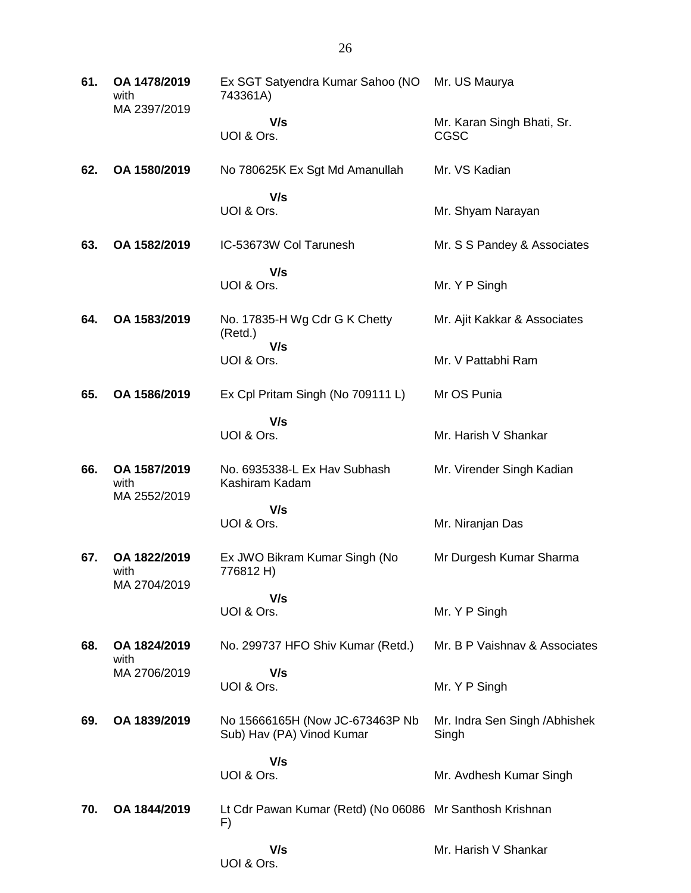| 61. | OA 1478/2019<br>with<br>MA 2397/2019 | Ex SGT Satyendra Kumar Sahoo (NO<br>743361A)                   | Mr. US Maurya                           |
|-----|--------------------------------------|----------------------------------------------------------------|-----------------------------------------|
|     |                                      | V/s<br>UOI & Ors.                                              | Mr. Karan Singh Bhati, Sr.<br>CGSC      |
| 62. | OA 1580/2019                         | No 780625K Ex Sgt Md Amanullah                                 | Mr. VS Kadian                           |
|     |                                      | V/s<br>UOI & Ors.                                              | Mr. Shyam Narayan                       |
| 63. | OA 1582/2019                         | IC-53673W Col Tarunesh                                         | Mr. S S Pandey & Associates             |
|     |                                      | V/s<br>UOI & Ors.                                              | Mr. Y P Singh                           |
| 64. | OA 1583/2019                         | No. 17835-H Wg Cdr G K Chetty<br>(Retd.)                       | Mr. Ajit Kakkar & Associates            |
|     |                                      | V/s<br>UOI & Ors.                                              | Mr. V Pattabhi Ram                      |
| 65. | OA 1586/2019                         | Ex Cpl Pritam Singh (No 709111 L)                              | Mr OS Punia                             |
|     |                                      | V/s<br>UOI & Ors.                                              | Mr. Harish V Shankar                    |
| 66. | OA 1587/2019<br>with<br>MA 2552/2019 | No. 6935338-L Ex Hav Subhash<br>Kashiram Kadam                 | Mr. Virender Singh Kadian               |
|     |                                      | V/s<br>UOI & Ors.                                              | Mr. Niranjan Das                        |
| 67. | OA 1822/2019<br>with<br>MA 2704/2019 | Ex JWO Bikram Kumar Singh (No<br>776812 H)                     | Mr Durgesh Kumar Sharma                 |
|     |                                      | V/s<br>UOI & Ors.                                              | Mr. Y P Singh                           |
| 68. | OA 1824/2019<br>with                 | No. 299737 HFO Shiv Kumar (Retd.)                              | Mr. B P Vaishnav & Associates           |
|     | MA 2706/2019                         | V/s<br>UOI & Ors.                                              | Mr. Y P Singh                           |
| 69. | OA 1839/2019                         | No 15666165H (Now JC-673463P Nb<br>Sub) Hav (PA) Vinod Kumar   | Mr. Indra Sen Singh / Abhishek<br>Singh |
|     |                                      | V/s<br>UOI & Ors.                                              | Mr. Avdhesh Kumar Singh                 |
| 70. | OA 1844/2019                         | Lt Cdr Pawan Kumar (Retd) (No 06086 Mr Santhosh Krishnan<br>F) |                                         |
|     |                                      | V/s<br>UOI & Ors.                                              | Mr. Harish V Shankar                    |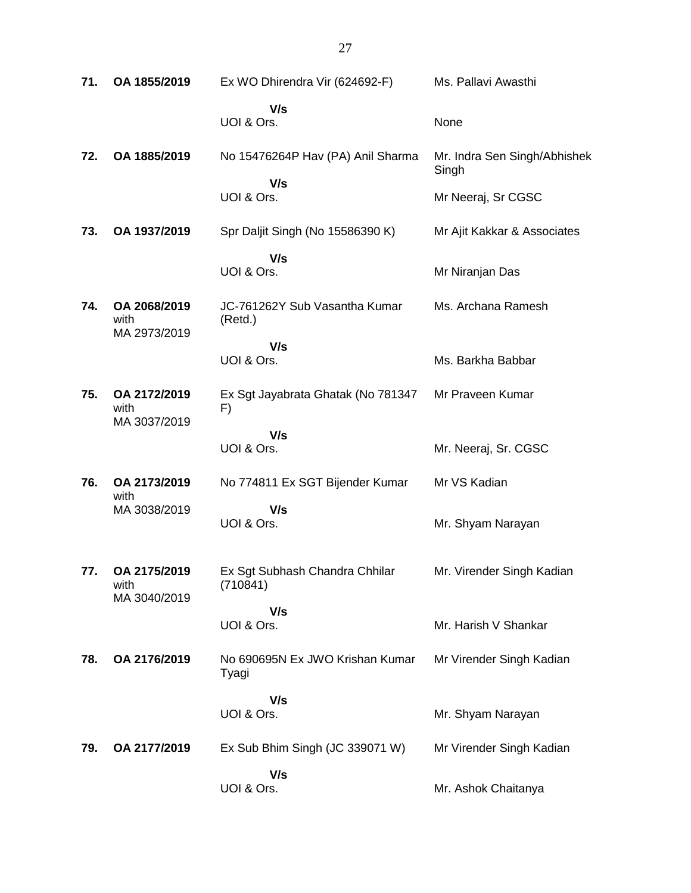| 71. | OA 1855/2019                         | Ex WO Dhirendra Vir (624692-F)             | Ms. Pallavi Awasthi                   |
|-----|--------------------------------------|--------------------------------------------|---------------------------------------|
|     |                                      | V/s<br>UOI & Ors.                          | None                                  |
| 72. | OA 1885/2019                         | No 15476264P Hav (PA) Anil Sharma          | Mr. Indra Sen Singh/Abhishek<br>Singh |
|     |                                      | V/s<br>UOI & Ors.                          | Mr Neeraj, Sr CGSC                    |
| 73. | OA 1937/2019                         | Spr Daljit Singh (No 15586390 K)           | Mr Ajit Kakkar & Associates           |
|     |                                      | V/s<br>UOI & Ors.                          | Mr Niranjan Das                       |
| 74. | OA 2068/2019<br>with<br>MA 2973/2019 | JC-761262Y Sub Vasantha Kumar<br>(Retd.)   | Ms. Archana Ramesh                    |
|     |                                      | V/s<br>UOI & Ors.                          | Ms. Barkha Babbar                     |
| 75. | OA 2172/2019<br>with<br>MA 3037/2019 | Ex Sgt Jayabrata Ghatak (No 781347<br>F)   | Mr Praveen Kumar                      |
|     |                                      | V/s<br>UOI & Ors.                          | Mr. Neeraj, Sr. CGSC                  |
| 76. | OA 2173/2019<br>with                 | No 774811 Ex SGT Bijender Kumar            | Mr VS Kadian                          |
|     | MA 3038/2019                         | V/s<br>UOI & Ors.                          | Mr. Shyam Narayan                     |
| 77. | OA 2175/2019<br>with<br>MA 3040/2019 | Ex Sgt Subhash Chandra Chhilar<br>(710841) | Mr. Virender Singh Kadian             |
|     |                                      | V/s<br>UOI & Ors.                          | Mr. Harish V Shankar                  |
| 78. | OA 2176/2019                         | No 690695N Ex JWO Krishan Kumar<br>Tyagi   | Mr Virender Singh Kadian              |
|     |                                      | V/s<br>UOI & Ors.                          | Mr. Shyam Narayan                     |
| 79. | OA 2177/2019                         | Ex Sub Bhim Singh (JC 339071 W)            | Mr Virender Singh Kadian              |
|     |                                      | V/s<br>UOI & Ors.                          | Mr. Ashok Chaitanya                   |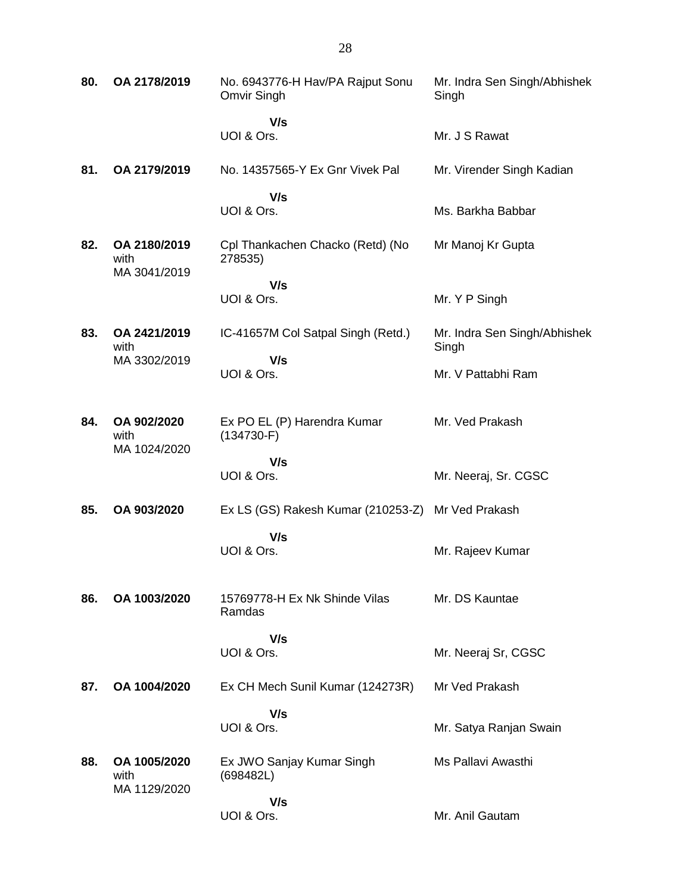| 80. | OA 2178/2019                         | No. 6943776-H Hav/PA Rajput Sonu<br>Omvir Singh | Mr. Indra Sen Singh/Abhishek<br>Singh |
|-----|--------------------------------------|-------------------------------------------------|---------------------------------------|
|     |                                      | V/s<br>UOI & Ors.                               | Mr. J S Rawat                         |
| 81. | OA 2179/2019                         | No. 14357565-Y Ex Gnr Vivek Pal                 | Mr. Virender Singh Kadian             |
|     |                                      | V/s<br>UOI & Ors.                               | Ms. Barkha Babbar                     |
| 82. | OA 2180/2019<br>with<br>MA 3041/2019 | Cpl Thankachen Chacko (Retd) (No<br>278535)     | Mr Manoj Kr Gupta                     |
|     |                                      | V/s<br>UOI & Ors.                               | Mr. Y P Singh                         |
| 83. | OA 2421/2019<br>with                 | IC-41657M Col Satpal Singh (Retd.)              | Mr. Indra Sen Singh/Abhishek<br>Singh |
|     | MA 3302/2019                         | V/s<br>UOI & Ors.                               | Mr. V Pattabhi Ram                    |
| 84. | OA 902/2020<br>with<br>MA 1024/2020  | Ex PO EL (P) Harendra Kumar<br>$(134730-F)$     | Mr. Ved Prakash                       |
|     |                                      | V/s<br>UOI & Ors.                               | Mr. Neeraj, Sr. CGSC                  |
| 85. | OA 903/2020                          | Ex LS (GS) Rakesh Kumar (210253-Z)              | Mr Ved Prakash                        |
|     |                                      | V/s<br>UOI & Ors.                               | Mr. Rajeev Kumar                      |
| 86. | OA 1003/2020                         | 15769778-H Ex Nk Shinde Vilas<br>Ramdas         | Mr. DS Kauntae                        |
|     |                                      | V/s<br>UOI & Ors.                               | Mr. Neeraj Sr, CGSC                   |
| 87. | OA 1004/2020                         | Ex CH Mech Sunil Kumar (124273R)                | Mr Ved Prakash                        |
|     |                                      | V/s<br>UOI & Ors.                               | Mr. Satya Ranjan Swain                |
| 88. | OA 1005/2020<br>with<br>MA 1129/2020 | Ex JWO Sanjay Kumar Singh<br>(698482L)          | Ms Pallavi Awasthi                    |
|     |                                      | V/s<br>UOI & Ors.                               | Mr. Anil Gautam                       |